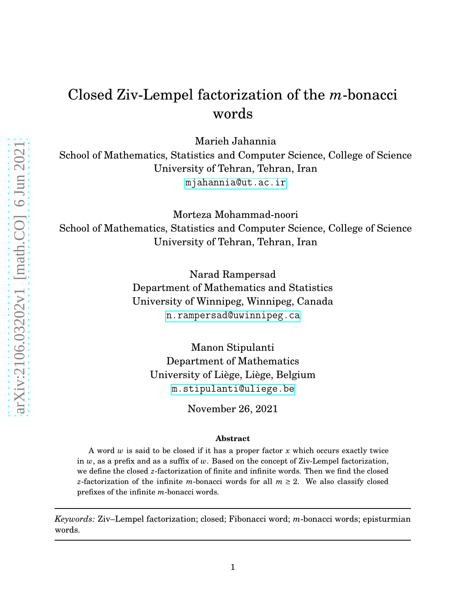# Closed Ziv-Lempel factorization of the *m*-bonacci words

Marieh Jahannia

School of Mathematics, Statistics and Computer Science, College of Science University of Tehran, Tehran, Iran <mjahannia@ut.ac.ir>

Morteza Mohammad-noori School of Mathematics, Statistics and Computer Science, College of Science University of Tehran, Tehran, Iran

> Narad Rampersad Department of Mathematics and Statistics University of Winnipeg, Winnipeg, Canada <n.rampersad@uwinnipeg.ca>

Manon Stipulanti Department of Mathematics University of Liège, Liège, Belgium <m.stipulanti@uliege.be>

November 26, 2021

#### **Abstract**

A word *w* is said to be closed if it has a proper factor *x* which occurs exactly twice in *w*, as a prefix and as a suffix of *w*. Based on the concept of Ziv-Lempel factorization, we define the closed *z*-factorization of finite and infinite words. Then we find the closed *z*-factorization of the infinite *m*-bonacci words for all  $m \geq 2$ . We also classify closed prefixes of the infinite *m*-bonacci words.

*Keywords:* Ziv–Lempel factorization; closed; Fibonacci word; *m*-bonacci words; episturmian words.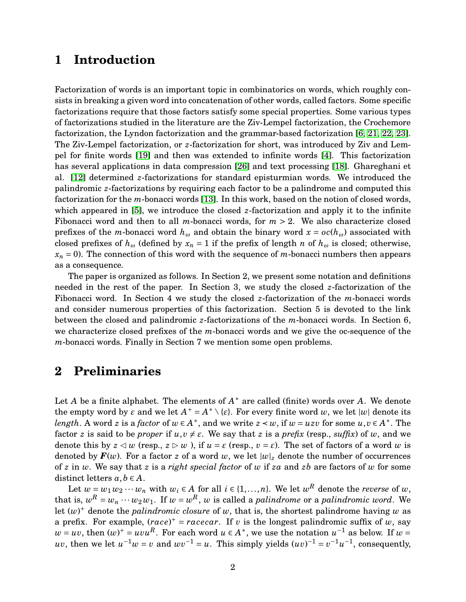## **1 Introduction**

Factorization of words is an important topic in combinatorics on words, which roughly consists in breaking a given word into concatenation of other words, called factors. Some specific factorizations require that those factors satisfy some special properties. Some various types of factorizations studied in the literature are the Ziv-Lempel factorization, the Crochemore factorization, the Lyndon factorization and the grammar-based factorization [\[6,](#page-21-0) [21,](#page-22-0) [22,](#page-22-1) [23\]](#page-22-2). The Ziv-Lempel factorization, or *z*-factorization for short, was introduced by Ziv and Lempel for finite words [\[19\]](#page-22-3) and then was extended to infinite words [\[4\]](#page-21-1). This factorization has several applications in data compression [\[26\]](#page-23-0) and text processing [\[18\]](#page-22-4). Ghareghani et al. [\[12\]](#page-22-5) determined *z*-factorizations for standard episturmian words. We introduced the palindromic *z*-factorizations by requiring each factor to be a palindrome and computed this factorization for the *m*-bonacci words [\[13\]](#page-22-6). In this work, based on the notion of closed words, which appeared in [\[5\]](#page-21-2), we introduce the closed *z*-factorization and apply it to the infinite Fibonacci word and then to all *m*-bonacci words, for  $m > 2$ . We also characterize closed prefixes of the *m*-bonacci word  $h_{\omega}$  and obtain the binary word  $x = oc(h_{\omega})$  associated with closed prefixes of  $h_\omega$  (defined by  $x_n = 1$  if the prefix of length *n* of  $h_\omega$  is closed; otherwise,  $x_n = 0$ . The connection of this word with the sequence of *m*-bonacci numbers then appears as a consequence.

The paper is organized as follows. In Section 2, we present some notation and definitions needed in the rest of the paper. In Section 3, we study the closed *z*-factorization of the Fibonacci word. In Section 4 we study the closed *z*-factorization of the *m*-bonacci words and consider numerous properties of this factorization. Section 5 is devoted to the link between the closed and palindromic *z*-factorizations of the *m*-bonacci words. In Section 6, we characterize closed prefixes of the *m*-bonacci words and we give the oc-sequence of the *m*-bonacci words. Finally in Section 7 we mention some open problems.

### **2 Preliminaries**

Let *A* be a finite alphabet. The elements of  $A^*$  are called (finite) words over *A*. We denote the empty word by  $\varepsilon$  and we let  $A^+ = A^* \setminus \{\varepsilon\}$ . For every finite word  $w$ , we let  $|w|$  denote its *length*. A word *z* is a *factor* of  $w \in A^*$ , and we write  $z \prec w$ , if  $w = u z v$  for some  $u, v \in A^*$ . The factor *z* is said to be *proper* if  $u, v \neq \varepsilon$ . We say that *z* is a *prefix* (resp., *suffix*) of *w*, and we denote this by  $z \le w$  (resp.,  $z \ge w$ ), if  $u = \varepsilon$  (resp.,  $v = \varepsilon$ ). The set of factors of a word w is denoted by  $\mathbf{F}(w)$ . For a factor *z* of a word *w*, we let  $|w|_z$  denote the number of occurrences of *z* in *w*. We say that *z* is a *right special factor* of *w* if *za* and *zb* are factors of *w* for some distinct letters  $a, b \in A$ .

Let  $w = w_1 w_2 \cdots w_n$  with  $w_i \in A$  for all  $i \in \{1, ..., n\}$ . We let  $w^R$  denote the *reverse* of  $w$ , that is,  $w^R = w_n \cdots w_2 w_1$ . If  $w = w^R$ , *w* is called a *palindrome* or a *palindromic word*. We let  $(w)^+$  denote the *palindromic closure* of *w*, that is, the shortest palindrome having *w* as a prefix. For example,  $(race)^+ = racecar$ . If *v* is the longest palindromic suffix of *w*, say  $w = uv$ , then  $(w)^{+} = uvu^{R}$ . For each word  $u \in A^*$ , we use the notation  $u^{-1}$  as below. If  $w =$ *uv*, then we let  $u^{-1}w = v$  and  $wv^{-1} = u$ . This simply yields  $(uv)^{-1} = v^{-1}u^{-1}$ , consequently,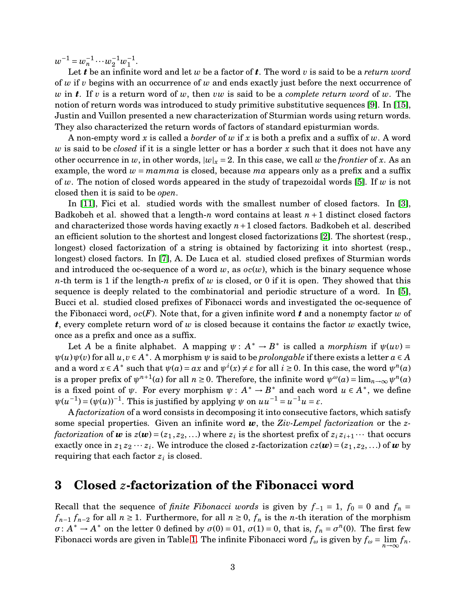$w^{-1} = w_n^{-1} \cdots w_2^{-1} w_1^{-1}$  $\frac{-1}{1}$ .

Let *t* be an infinite word and let *w* be a factor of *t*. The word *v* is said to be a *return word* of *w* if *v* begins with an occurrence of *w* and ends exactly just before the next occurrence of *w* in *t*. If *v* is a return word of *w*, then *vw* is said to be a *complete return word* of *w*. The notion of return words was introduced to study primitive substitutive sequences [\[9\]](#page-22-7). In [\[15\]](#page-22-8), Justin and Vuillon presented a new characterization of Sturmian words using return words. They also characterized the return words of factors of standard episturmian words.

A non-empty word *x* is called a *border* of *w* if *x* is both a prefix and a suffix of *w*. A word *w* is said to be *closed* if it is a single letter or has a border *x* such that it does not have any other occurrence in *w*, in other words,  $|w|_x = 2$ . In this case, we call *w* the *frontier* of *x*. As an example, the word  $w = m \times a$  is closed, because  $ma$  appears only as a prefix and a suffix of *w*. The notion of closed words appeared in the study of trapezoidal words [\[5\]](#page-21-2). If *w* is not closed then it is said to be *open*.

In [\[11\]](#page-22-9), Fici et al. studied words with the smallest number of closed factors. In [\[3\]](#page-21-3), Badkobeh et al. showed that a length-*n* word contains at least *n* +1 distinct closed factors and characterized those words having exactly  $n+1$  closed factors. Badkobeh et al. described an efficient solution to the shortest and longest closed factorizations [\[2\]](#page-21-4). The shortest (resp., longest) closed factorization of a string is obtained by factorizing it into shortest (resp., longest) closed factors. In [\[7\]](#page-21-5), A. De Luca et al. studied closed prefixes of Sturmian words and introduced the oc-sequence of a word  $w$ , as  $oc(w)$ , which is the binary sequence whose *n*-th term is 1 if the length-*n* prefix of *w* is closed, or 0 if it is open. They showed that this sequence is deeply related to the combinatorial and periodic structure of a word. In [\[5\]](#page-21-2), Bucci et al. studied closed prefixes of Fibonacci words and investigated the oc-sequence of the Fibonacci word, *oc*(*F*). Note that, for a given infinite word *t* and a nonempty factor *w* of *t*, every complete return word of *w* is closed because it contains the factor *w* exactly twice, once as a prefix and once as a suffix.

Let *A* be a finite alphabet. A mapping  $\psi : A^* \to B^*$  is called a *morphism* if  $\psi(uv) =$  $\psi(u)\psi(v)$  for all  $u, v \in A^*$ . A morphism  $\psi$  is said to be *prolongable* if there exists a letter  $a \in A$ and a word  $x \in A^*$  such that  $\psi(a) = ax$  and  $\psi^i(x) \neq \varepsilon$  for all  $i \geq 0$ . In this case, the word  $\psi^n(a)$ is a proper prefix of  $\psi^{n+1}(a)$  for all  $n \ge 0$ . Therefore, the infinite word  $\psi^{\omega}(a) = \lim_{n \to \infty} \psi^{n}(a)$ is a fixed point of  $\psi$ . For every morphism  $\psi: A^* \to B^*$  and each word  $u \in A^*$ , we define  $\psi(u^{-1}) = (\psi(u))^{-1}$ . This is justified by applying  $\psi$  on  $uu^{-1} = u^{-1}u = \varepsilon$ .

A *factorization* of a word consists in decomposing it into consecutive factors, which satisfy some special properties. Given an infinite word *w*, the *Ziv-Lempel factorization* or the *zfactorization* of  $w$  is  $z(w) = (z_1, z_2, ...)$  where  $z_i$  is the shortest prefix of  $z_i z_{i+1} \cdots$  that occurs exactly once in  $z_1 z_2 \cdots z_i$ . We introduce the closed *z*-factorization  $cz(\boldsymbol{w}) = (z_1, z_2, ...)$  of  $\boldsymbol{w}$  by requiring that each factor  $z_i$  is closed.

### **3 Closed** *z***-factorization of the Fibonacci word**

Recall that the sequence of *finite Fibonacci words* is given by  $f_{-1} = 1$ ,  $f_0 = 0$  and  $f_n =$ *f*<sub>*n*−1</sub> *f*<sub>*n*−2</sub> for all *n* ≥ 1. Furthermore, for all *n* ≥ 0, *f<sub>n</sub>* is the *n*-th iteration of the morphism  $\sigma: A^* \to A^*$  on the letter 0 defined by  $\sigma(0) = 0.01$ ,  $\sigma(1) = 0$ , that is,  $f_n = \sigma^n(0)$ . The first few Fibonacci words are given in Table [1.](#page-3-0) The infinite Fibonacci word  $f_{\omega}$  is given by  $f_{\omega} = \lim_{n \to \infty} f_n$ .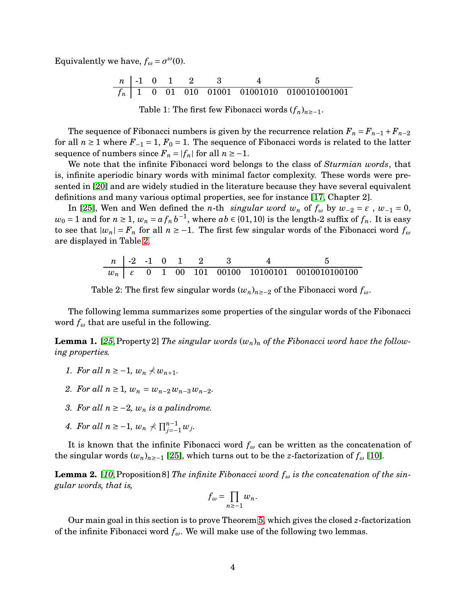Equivalently we have,  $f_{\omega} = \sigma^{\omega}(0)$ .

*n* -1 0 1 2 3 4 5 *f<sup>n</sup>* 1 0 01 010 01001 01001010 0100101001001

<span id="page-3-0"></span>Table 1: The first few Fibonacci words  $(f_n)_{n\geq -1}$ .

The sequence of Fibonacci numbers is given by the recurrence relation  $F_n = F_{n-1} + F_{n-2}$ for all  $n \ge 1$  where  $F_{-1} = 1$ ,  $F_0 = 1$ . The sequence of Fibonacci words is related to the latter sequence of numbers since  $F_n = |f_n|$  for all  $n \ge -1$ .

We note that the infinite Fibonacci word belongs to the class of *Sturmian words*, that is, infinite aperiodic binary words with minimal factor complexity. These words were presented in [\[20\]](#page-22-10) and are widely studied in the literature because they have several equivalent definitions and many various optimal properties, see for instance [\[17,](#page-22-11) Chapter 2].

In [\[25\]](#page-23-1), Wen and Wen defined the *n*-th *singular word*  $w_n$  of  $f_\omega$  by  $w_{-2} = \varepsilon$ ,  $w_{-1} = 0$ ,  $w_0 = 1$  and for  $n \ge 1$ ,  $w_n = a \, f_n \, b^{-1}$ , where  $ab \in \{01,10\}$  is the length-2 suffix of  $f_n$ . It is easy to see that  $|w_n| = F_n$  for all  $n \ge -1$ . The first few singular words of the Fibonacci word  $f_\omega$ are displayed in Table [2.](#page-3-1)

|  |  |  | $n \mid -2 \mid -1 \mid 0 \mid 1 \mid 2 \mid 3$ |  |
|--|--|--|-------------------------------------------------|--|
|  |  |  |                                                 |  |

<span id="page-3-1"></span>Table 2: The first few singular words  $(w_n)_{n\geq -2}$  of the Fibonacci word  $f_\omega$ .

The following lemma summarizes some properties of the singular words of the Fibonacci word *f<sup>ω</sup>* that are useful in the following.

<span id="page-3-2"></span>**Lemma 1.** [[25](#page-23-1), Property 2] *The singular words*  $(w_n)_n$  *of the Fibonacci word have the following properties.*

- *1. For all*  $n \ge -1$ ,  $w_n \nless w_{n+1}$ .
- *2. For all*  $n \geq 1$ ,  $w_n = w_{n-2} w_{n-3} w_{n-2}$ .
- *3. For all*  $n ≥ −2$ *,*  $w_n$  *is a palindrome.*
- *4.* For all  $n \ge -1$ ,  $w_n \nless \prod_{j=-1}^{n-1} w_j$ .

It is known that the infinite Fibonacci word  $f_\omega$  can be written as the concatenation of the singular words  $(w_n)_{n \geq -1}$  [\[25\]](#page-23-1), which turns out to be the *z*-factorization of  $f_\omega$  [\[10\]](#page-22-12).

<span id="page-3-3"></span>**Lemma 2.** [[10](#page-22-12), Proposition 8] *The infinite Fibonacci word*  $f_{\omega}$  *is the concatenation of the singular words, that is,*

$$
f_{\omega} = \prod_{n \geq -1} w_n.
$$

Our main goal in this section is to prove Theorem [5,](#page-4-0) which gives the closed *z*-factorization of the infinite Fibonacci word  $f_{\omega}$ . We will make use of the following two lemmas.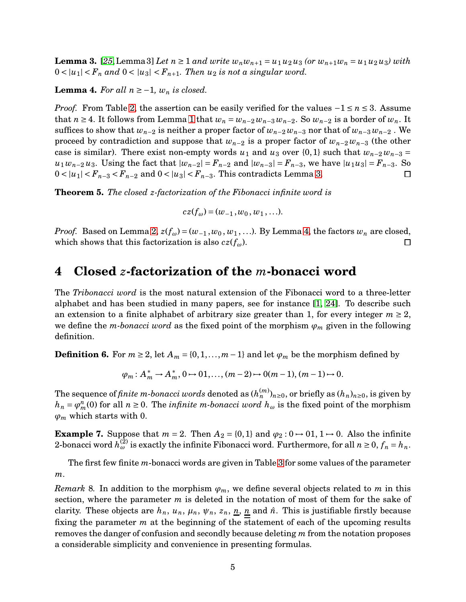<span id="page-4-1"></span>**Lemma 3.** [[25](#page-23-1), Lemma 3] Let  $n \ge 1$  and write  $w_n w_{n+1} = u_1 u_2 u_3$  (or  $w_{n+1} w_n = u_1 u_2 u_3$ ) with  $0 < |u_1| < F_n$  and  $0 < |u_3| < F_{n+1}$ . Then  $u_2$  is not a singular word.

<span id="page-4-2"></span>**Lemma 4.** For all  $n \ge -1$ ,  $w_n$  is closed.

*Proof.* From Table [2,](#page-3-1) the assertion can be easily verified for the values  $-1 \le n \le 3$ . Assume that *n* ≥ 4. It follows from Lemma [1](#page-3-2) that  $w_n = w_{n-2}w_{n-3}w_{n-2}$ . So  $w_{n-2}$  is a border of  $w_n$ . It suffices to show that  $w_{n-2}$  is neither a proper factor of  $w_{n-2}w_{n-3}$  nor that of  $w_{n-3}w_{n-2}$ . We proceed by contradiction and suppose that *wn*−<sup>2</sup> is a proper factor of *wn*−<sup>2</sup> *wn*−<sup>3</sup> (the other case is similar). There exist non-empty words  $u_1$  and  $u_3$  over {0,1} such that  $w_{n-2}w_{n-3}$  = *u*<sub>1</sub>*w*<sub>*n*−2</sub>*u*<sub>3</sub>. Using the fact that  $|w_{n-2}| = F_{n-2}$  and  $|w_{n-3}| = F_{n-3}$ , we have  $|u_1u_3| = F_{n-3}$ . So 0 < |*u*<sub>1</sub>| < *F*<sub>*n*−3</sub> < *F*<sub>*n*−2</sub> and 0 < |*u*<sub>3</sub>| < *F*<sub>*n*−3</sub>. This contradicts Lemma [3.](#page-4-1)  $\Box$ 

<span id="page-4-0"></span>**Theorem 5.** *The closed z-factorization of the Fibonacci infinite word is*

$$
cz(f_{\omega}) = (w_{-1}, w_0, w_1, ...).
$$

*Proof.* Based on Lemma [2,](#page-3-3)  $z(f_\omega) = (w_{-1}, w_0, w_1, \ldots)$ . By Lemma [4,](#page-4-2) the factors  $w_n$  are closed, which shows that this factorization is also  $cz(f_\omega)$ .  $\Box$ 

### **4 Closed** *z***-factorization of the** *m***-bonacci word**

The *Tribonacci word* is the most natural extension of the Fibonacci word to a three-letter alphabet and has been studied in many papers, see for instance [\[1,](#page-21-6) [24\]](#page-22-13). To describe such an extension to a finite alphabet of arbitrary size greater than 1, for every integer  $m \geq 2$ , we define the *m-bonacci word* as the fixed point of the morphism  $\varphi_m$  given in the following definition.

<span id="page-4-3"></span>**Definition 6.** For  $m \ge 2$ , let  $A_m = \{0, 1, ..., m-1\}$  and let  $\varphi_m$  be the morphism defined by

$$
\varphi_m: A_m^* \to A_m^*, 0 \to 01, ..., (m-2) \to 0(m-1), (m-1) \to 0.
$$

The sequence of *finite m-bonacci words* denoted as  $(h_n^{(m)})_{n\geq 0},$  or briefly as  $(h_n)_{n\geq 0},$  is given by  $h_n = \varphi_m^n(0)$  for all  $n \ge 0$ . The *infinite m-bonacci word*  $h_\omega$  is the fixed point of the morphism  $\varphi_m$  which starts with 0.

**Example 7.** Suppose that  $m = 2$ . Then  $A_2 = \{0, 1\}$  and  $\varphi_2 : 0 \rightarrow 0 \cdot 1, 1 \rightarrow 0$ . Also the infinite 2-bonacci word  $h_\omega^{(2)}$  is exactly the infinite Fibonacci word. Furthermore, for all  $n \geq 0$ ,  $f_n = h_n$ .

The first few finite *m*-bonacci words are given in Table [3](#page-5-0) for some values of the parameter *m*.

*Remark* 8. In addition to the morphism  $\varphi_m$ , we define several objects related to *m* in this section, where the parameter *m* is deleted in the notation of most of them for the sake of clarity. These objects are  $h_n$ ,  $u_n$ ,  $\mu_n$ ,  $\psi_n$ ,  $z_n$ ,  $\underline{n}$ ,  $\underline{n}$  and  $\hat{n}$ . This is justifiable firstly because fixing the parameter *m* at the beginning of the statement of each of the upcoming results removes the danger of confusion and secondly because deleting *m* from the notation proposes a considerable simplicity and convenience in presenting formulas.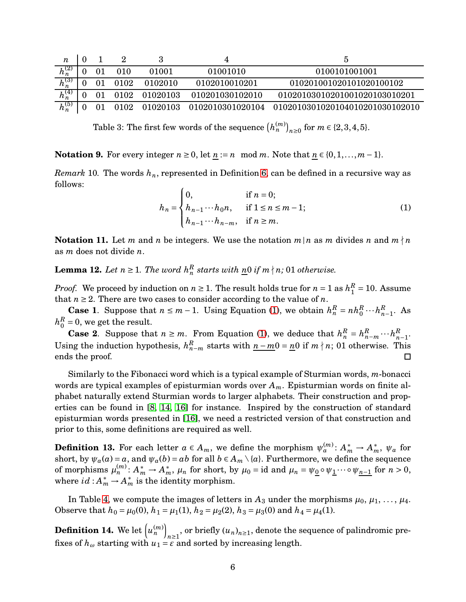| n           |         |      |               |                  |                                 |
|-------------|---------|------|---------------|------------------|---------------------------------|
| $h_n^{(2)}$ | 01      | 010  | 01001         | 01001010         | 0100101001001                   |
| $h_n^{(3)}$ |         | 0102 | 0102010       | 0102010010201    | 010201001020101020100102        |
| $h_n^{(4)}$ | $^{01}$ |      | 0102 01020103 | 010201030102010  | 01020103010201001020103010201   |
| $h_n^{(5)}$ | 01      |      | 0102 01020103 | 0102010301020104 | 0102010301020104010201030102010 |

<span id="page-5-0"></span>Table 3: The first few words of the sequence  $(h_n^{(m)})_{n\geq 0}$  for  $m\in\{2,3,4,5\}.$ 

**Notation 9.** For every integer  $n \ge 0$ , let  $n := n \mod m$ . Note that  $n \in \{0, 1, ..., m-1\}$ .

*Remark* 10*.* The words *hn*, represented in Definition [6,](#page-4-3) can be defined in a recursive way as follows:

<span id="page-5-1"></span>
$$
h_n = \begin{cases} 0, & \text{if } n = 0; \\ h_{n-1} \cdots h_0 n, & \text{if } 1 \le n \le m - 1; \\ h_{n-1} \cdots h_{n-m}, & \text{if } n \ge m. \end{cases} \tag{1}
$$

**Notation 11.** Let *m* and *n* be integers. We use the notation  $m \mid n$  as *m* divides *n* and  $m \nmid n$ as *m* does not divide *n*.

<span id="page-5-2"></span>**Lemma 12.** *Let*  $n \geq 1$ *. The word*  $h_n^R$  *starts with*  $\underline{n}0$  *if*  $m \nmid n$ *;* 01 *otherwise.* 

*Proof.* We proceed by induction on  $n \geq 1$ . The result holds true for  $n = 1$  as  $h_1^R$  $_1^R$  = 10. Assume that  $n \geq 2$ . There are two cases to consider according to the value of *n*.

**Case 1**. Suppose that  $n \leq m-1$ . Using Equation [\(1\)](#page-5-1), we obtain  $h_n^R = nh_0^R \cdots h_n^R$  $_{n-1}^{\kappa}$ . As  $h_0^R$  $_0^R$  = 0, we get the result.

**Case 2**. Suppose that  $n \geq m$ . From Equation [\(1\)](#page-5-1), we deduce that  $h_n^R = h_{n-m}^R \cdots h_n^R$ *n*−1. Using the induction hypothesis,  $h_{n-m}^R$  starts with  $n-m0 = n0$  if  $m \nmid n$ ; 01 otherwise. This ends the proof. □

Similarly to the Fibonacci word which is a typical example of Sturmian words, *m*-bonacci words are typical examples of episturmian words over *Am*. Episturmian words on finite alphabet naturally extend Sturmian words to larger alphabets. Their construction and properties can be found in [\[8,](#page-21-7) [14,](#page-22-14) [16\]](#page-22-15) for instance. Inspired by the construction of standard episturmian words presented in [\[16\]](#page-22-15), we need a restricted version of that construction and prior to this, some definitions are required as well.

**Definition 13.** For each letter  $a \in A_m$ , we define the morphism  $\psi_a^{(m)}$ :  $A_m^* \to A_m^*$ ,  $\psi_a$  for short, by  $\psi_a(a) = a$ , and  $\psi_a(b) = ab$  for all  $b \in A_m \setminus \{a\}$ . Furthermore, we define the sequence of morphisms  $\mu_n^{(m)}: A_m^* \to A_m^*$ ,  $\mu_n$  for short, by  $\mu_0 = id$  and  $\mu_n = \psi_0 \circ \psi_1 \cdots \circ \psi_{n-1}$  for  $n > 0$ , where  $id: A_m^* \to A_m^*$  is the identity morphism.

In Table [4,](#page-6-0) we compute the images of letters in  $A_3$  under the morphisms  $\mu_0, \mu_1, \ldots, \mu_4$ . Observe that  $h_0 = \mu_0(0)$ ,  $h_1 = \mu_1(1)$ ,  $h_2 = \mu_2(2)$ ,  $h_3 = \mu_3(0)$  and  $h_4 = \mu_4(1)$ .

<span id="page-5-3"></span>**Definition 14.** We let  $\left(u_n^{(m)}\right)$  $n \geq 1$ , or briefly  $(u_n)_{n \geq 1}$ , denote the sequence of palindromic prefixes of  $h_{\omega}$  starting with  $u_1 = \varepsilon$  and sorted by increasing length.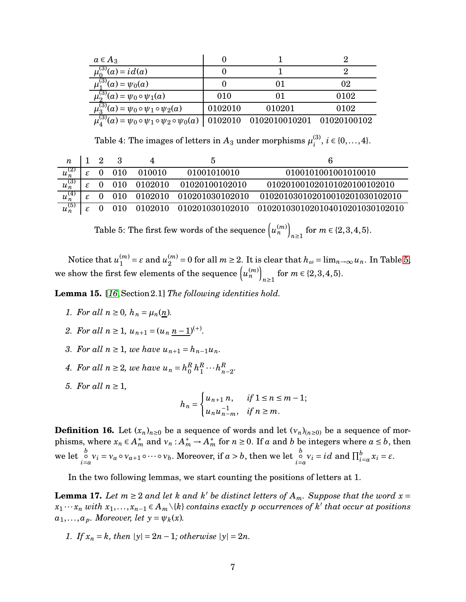| $a \in A_3$                                                                      |         |                                   |      |
|----------------------------------------------------------------------------------|---------|-----------------------------------|------|
| $\mu_0^{(3)}(a) = id(a)$                                                         |         |                                   |      |
| $\overline{\mu_1^{(3)}}(a) = \psi_0(a)$                                          |         |                                   | 02   |
| $\mu_2^{(3)}(a) = \psi_0 \circ \psi_1(a)$                                        | 010     |                                   | 0102 |
| $\mu_3^{(3)}(a) = \psi_0 \circ \psi_1 \circ \psi_2(a)$                           | 0102010 | 010201                            | 0102 |
| $\overline{\mu_{A}^{(3)}}(a) = \psi_0 \circ \psi_1 \circ \psi_2 \circ \psi_0(a)$ |         | 0102010 0102010010201 01020100102 |      |

<span id="page-6-0"></span>Table 4: The images of letters in  $A_3$  under morphisms  $\mu_i^{(3)}$  $i^{(3)}$ , *i* ∈ {0,..., 4}.

| n           |    |              |               |                               |                                                                       |
|-------------|----|--------------|---------------|-------------------------------|-----------------------------------------------------------------------|
| $u_n^{(2)}$ | £. | $0\quad 010$ | 010010        | 01001010010                   | 0100101001001010010                                                   |
| $u_n^{(3)}$ | £. |              | 0 010 0102010 | 01020100102010                | 010201001020101020100102010                                           |
| $u_n^{(4)}$ |    |              |               | 0 010 0102010 010201030102010 | 010201030102010010201030102010                                        |
| $u_n^{(5)}$ |    | $0\quad 010$ |               |                               | $0102010 \quad 010201030102010 \quad 0102010301020104010201030102010$ |

<span id="page-6-1"></span>Table 5: The first few words of the sequence  $\left( u_n^{(m)} \right)$ *n*≥1 for  $m \in \{2, 3, 4, 5\}$ .

Notice that  $u_1^{(m)}$  $u_1^{(m)} = \varepsilon$  and  $u_2^{(m)}$  $\sum_{n=2}^{m} a_n = 0$  for all  $m \ge 2$ . It is clear that  $h_\omega = \lim_{n \to \infty} u_n$ . In Table [5,](#page-6-1) we show the first few elements of the sequence  $\left(u_n^{(m)}\right)$ *n*≥1 for  $m \in \{2, 3, 4, 5\}$ .

<span id="page-6-3"></span>**Lemma 15.** [*[16](#page-22-15)*,Section 2.1] *The following identities hold.*

- *1. For all*  $n \ge 0$ ,  $h_n = \mu_n(n)$ .
- *2. For all*  $n \geq 1$ ,  $u_{n+1} = (u_n \underline{n-1})^{(+)}$ .
- *3. For all*  $n \ge 1$ *, we have*  $u_{n+1} = h_{n-1}u_n$ *.*
- *4. For all*  $n \geq 2$ *, we have*  $u_n = h_0^R$  $\frac{R}{0}h_1^R$  $\frac{R}{1} \cdots h\frac{R}{n}$ *n*−2 *.*
- *5. For all*  $n \geq 1$ ,

$$
h_n = \begin{cases} u_{n+1} n, & \text{if } 1 \le n \le m-1; \\ u_n u_{n-m}^{-1}, & \text{if } n \ge m. \end{cases}
$$

**Definition 16.** Let  $(x_n)_{n\geq 0}$  be a sequence of words and let  $(v_n)_{n\geq 0}$  be a sequence of morphisms, where  $x_n \in A_m^*$  and  $v_n : A_m^* \to A_m^*$  for  $n \ge 0$ . If *a* and *b* be integers where  $a \le b$ , then we let  $\int_{i=a}^{b} v_i = v_a \circ v_{a+1} \circ \cdots \circ v_b$ . Moreover, if  $a > b$ , then we let  $\int_{i=a}^{b} v_i = id$  and  $\prod_{i=a}^{b} x_i = \varepsilon$ .

In the two following lemmas, we start counting the positions of letters at 1.

<span id="page-6-2"></span>**Lemma 17.** Let  $m \ge 2$  and let  $k$  and  $k'$  be distinct letters of  $A_m$ . Suppose that the word  $x =$ *x*<sup>1</sup> ··· *x<sup>n</sup> with x*1,..., *xn*−<sup>1</sup> ∈ *Am*\{*k*} *contains exactly p occurrences of k* ′ *that occur at positions*  $a_1, \ldots, a_p$ *. Moreover, let*  $y = \psi_k(x)$ *.* 

*1. If*  $x_n = k$ *, then*  $|y| = 2n - 1$ *; otherwise*  $|y| = 2n$ *.*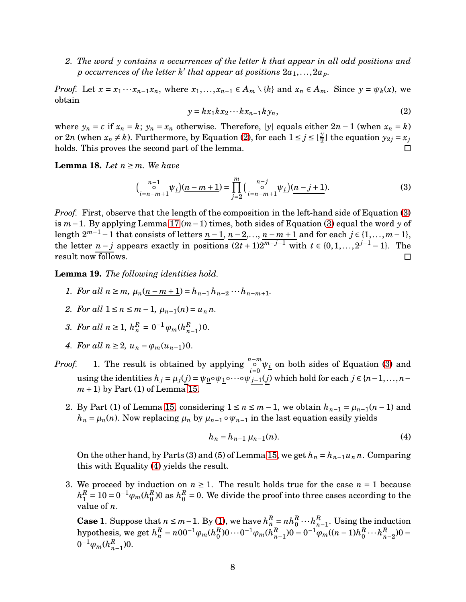*2. The word y contains n occurrences of the letter k that appear in all odd positions and*  $p$  *occurrences of the letter*  $k'$  *that appear at positions*  $2a_1, \ldots, 2a_p$ .

*Proof.* Let  $x = x_1 \cdots x_{n-1} x_n$ , where  $x_1, \ldots, x_{n-1} \in A_m \setminus \{k\}$  and  $x_n \in A_m$ . Since  $y = \psi_k(x)$ , we obtain

<span id="page-7-0"></span>
$$
y = kx_1kx_2\cdots kx_{n-1}ky_n, \tag{2}
$$

where  $y_n = \varepsilon$  if  $x_n = k$ ;  $y_n = x_n$  otherwise. Therefore, |y| equals either  $2n - 1$  (when  $x_n = k$ ) or 2*n* (when  $x_n \neq k$ ). Furthermore, by Equation [\(2\)](#page-7-0), for each  $1 \leq j \leq \lfloor \frac{y}{2} \rfloor$  the equation  $y_{2j} = x_j$ holds. This proves the second part of the lemma. П

**Lemma 18.** Let  $n \geq m$ . We have

<span id="page-7-1"></span>
$$
\left(\begin{array}{c} n-1\\ \circ \\ i=n-m+1 \end{array}\psi_{\underline{i}}\right)\left(\underline{n-m+1}\right) = \prod_{j=2}^{m} \left(\begin{array}{c} n-j\\ \circ \\ i=n-m+1 \end{array}\psi_{\underline{i}}\right)\left(\underline{n-j+1}\right). \tag{3}
$$

*Proof.* First, observe that the length of the composition in the left-hand side of Equation [\(3\)](#page-7-1) is *m*−1. By applying Lemma [17](#page-6-2) (*m*−1) times, both sides of Equation [\(3\)](#page-7-1) equal the word *y* of length  $2^{m-1}-1$  that consists of letters  $n-1$ ,  $n-2$ ,...,  $n-m+1$  and for each  $j \in \{1,...,m-1\}$ , the letter *n* − *j* appears exactly in positions  $(2t + 1)2^{m-j-1}$  with  $t \in \{0, 1, ..., 2^{j-1} - 1\}$ . The result now follows.  $\Box$ 

<span id="page-7-3"></span>**Lemma 19.** *The following identities hold.*

- *1. For all*  $n \ge m$ ,  $\mu_n(n-m+1) = h_{n-1}h_{n-2} \cdots h_{n-m+1}$ .
- *2.* For all  $1 \le n \le m-1$ ,  $\mu_{n-1}(n) = u_n n$ .
- *3. For all*  $n \ge 1$ ,  $h_n^R = 0^{-1} \varphi_m(h_n^R)$  $_{n-1}^{R}$ ) 0.
- *4. For all*  $n \geq 2$ ,  $u_n = \varphi_m(u_{n-1})0$ .
- *Proof.* 1. The result is obtained by applying  $\int_{i=0}^{n-m} \psi_i$  on both sides of Equation [\(3\)](#page-7-1) and using the identities  $h_j = \mu_j(j) = \psi_0 \circ \psi_1 \circ \cdots \circ \psi_{j-1}(j)$  which hold for each  $j \in \{n-1,\ldots,n-1\}$  $m+1$  by Part (1) of Lemma [15.](#page-6-3)
	- 2. By Part (1) of Lemma [15,](#page-6-3) considering  $1 \le n \le m-1$ , we obtain  $h_{n-1} = \mu_{n-1}(n-1)$  and  $h_n = \mu_n(n)$ . Now replacing  $\mu_n$  by  $\mu_{n-1} \circ \psi_{n-1}$  in the last equation easily yields

<span id="page-7-2"></span>
$$
h_n = h_{n-1} \,\mu_{n-1}(n). \tag{4}
$$

On the other hand, by Parts (3) and (5) of Lemma [15,](#page-6-3) we get  $h_n = h_{n-1}u_n n$ . Comparing this with Equality [\(4\)](#page-7-2) yields the result.

3. We proceed by induction on  $n \geq 1$ . The result holds true for the case  $n = 1$  because  $h_1^R$  $_{1}^{R}=10=0^{-1}\varphi_{m}(h_{0}^{R}% -h_{1}^{R})=0$  $\binom{R}{0}$ 0 as  $h^R_0$  $\binom{R}{0}$  = 0. We divide the proof into three cases according to the value of *n*.

**Case 1**. Suppose that  $n \leq m-1$ . By [\(1\)](#page-5-1), we have  $h_n^R = nh_0^R \cdots h_n^R$  $\binom{n}{n-1}$ . Using the induction  ${\rm hypothesis, \ we \ get} \ h_n^R = n00^{-1} \varphi_m(h_0^R)$  $\binom{R}{0}$ 0 $\cdots$ 0<sup>-1</sup> $\varphi_m$ ( $h_n^R$  $\sum_{n=1}^{R}$ )0 = 0<sup>-1</sup> $\varphi_m$ ((*n* − 1)*h*<sup>R</sup><sub>0</sub>  $\frac{R}{0}\cdots h\frac{R}{n}$  $_{n-2}^{R}$ )0 =  $0^{-1}\varphi_m(h_n^R)$  $_{n-1}^{k}$ <sup>0</sup>.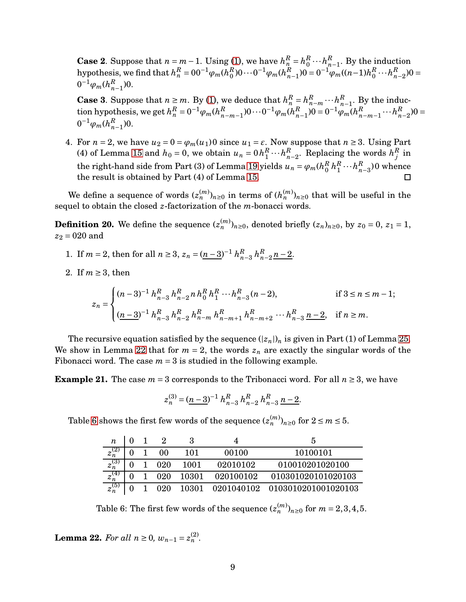**Case 2**. Suppose that  $n = m - 1$ . Using [\(1\)](#page-5-1), we have  $h_n^R = h_0^R$  $\frac{R}{0}\cdots h\frac{R}{n}$  $_{n-1}^R$ . By the induction  ${\rm hypothesis,}$  we find that  $h^R_n = 00^{-1} \varphi_m (h^R_0)$  $\binom{R}{0}$ 0 $\cdots$ 0<sup>-1</sup> $\varphi_m$ ( $h^R_n$  $_{n-1}^{R}$ )0 = 0<sup>-1</sup> $\varphi_m$ ((*n*−1)*h*<sup>R</sup><sub>0</sub>  $\frac{R}{0}\cdots h\frac{R}{n}$  $_{n-2}^{R}$ )0 =  $0^{-1}\varphi_m(h_n^R)$  $_{n-1}^{k}$ <sup>0</sup>.

**Case 3**. Suppose that  $n \ge m$ . By [\(1\)](#page-5-1), we deduce that  $h_n^R = h_{n-m}^R \cdots h_n^R$  $\frac{R}{n-1}$ . By the induc- $\tanh$  hypothesis, we get  $h_n^R = 0^{-1} \varphi_m (h_n^R)$  $R$ <sup>*n*−*m*−1</sub>)0…0<sup>-1</sup> $\varphi_m(h_n^R)$ </sup>  $_{n-1}^{R}$ )0 = 0<sup>-1</sup> $\varphi_m(h_n^R)$  $_{n-m-1}^R\cdots h_n^R$  $_{n-2}^{R}$ )0 =  $0^{-1}\varphi_m(h_n^R)$  $_{n-1}^{R}$ )0.

4. For  $n = 2$ , we have  $u_2 = 0 = \varphi_m(u_1)0$  since  $u_1 = \varepsilon$ . Now suppose that  $n \geq 3$ . Using Part (4) of Lemma [15](#page-6-3) and  $h_0 = 0$ , we obtain  $u_n = 0$   $h_1^R$  $\frac{R}{1} \cdots h\frac{R}{n}$  $R_{n-2}$ . Replacing the words  $h_j^R$  $j$ <sup>*t*</sup> in the right-hand side from Part (3) of Lemma [19](#page-7-3) yields  $u_n = \varphi_m(h_0^R)$  $\frac{R}{0}h_1^R$  $\frac{R}{1} \cdots h_n^R$  $_{n-3}^{\kappa}$ )0 whence the result is obtained by Part (4) of Lemma [15.](#page-6-3)  $\Box$ 

We define a sequence of words  $(z_n^{(m)})_{n\geq 0}$  in terms of  $(h_n^{(m)})_{n\geq 0}$  that will be useful in the sequel to obtain the closed *z*-factorization of the *m*-bonacci words.

<span id="page-8-2"></span>**Definition 20.** We define the sequence  $(z_n^{(m)})_{n\geq 0}$ , denoted briefly  $(z_n)_{n\geq 0}$ , by  $z_0 = 0$ ,  $z_1 = 1$ ,  $z_2 = 020$  and

- 1. If  $m = 2$ , then for all  $n \ge 3$ ,  $z_n = (n-3)^{-1} h_n^R$ *n*−3 *h R*  $n^R$ <sub>n−2</sub> $n-2$ .
- 2. If  $m \geq 3$ , then

$$
z_n = \begin{cases} (n-3)^{-1} h_{n-3}^R h_{n-2}^R n h_0^R h_1^R \cdots h_{n-3}^R (n-2), & \text{if } 3 \le n \le m-1; \\ \frac{(n-3)^{-1}}{n-3} h_{n-3}^R h_{n-2}^R h_{n-m}^R h_{n-m+1}^R h_{n-m+2}^R \cdots h_{n-3}^R \underline{n-2}, & \text{if } n \ge m. \end{cases}
$$

The recursive equation satisfied by the sequence  $(|z_n|)_n$  is given in Part (1) of Lemma 25. We show in Lemma [22](#page-8-0) that for  $m = 2$ , the words  $z<sub>n</sub>$  are exactly the singular words of the Fibonacci word. The case  $m = 3$  is studied in the following example.

**Example 21.** The case  $m = 3$  corresponds to the Tribonacci word. For all  $n \ge 3$ , we have

$$
z_n^{(3)} = (\underline{n-3})^{-1} h_{n-3}^R h_{n-2}^R h_{n-3}^R \underline{n-2}.
$$

Table [6](#page-8-1) shows the first few words of the sequence  $(z_n^{(m)})_{n\geq 0}$  for  $2 \leq m \leq 5$ .

| n                      |  |     |       |           | :5                             |
|------------------------|--|-----|-------|-----------|--------------------------------|
| $z_n$                  |  | 00  | 101   | 00100     | 10100101                       |
| $z_n^3$                |  | 020 | 1001  | 02010102  | 010010201020100                |
| - 14<br>$z_n^{\prime}$ |  | 020 | 10301 | 020100102 | 010301020101020103             |
| $z_n^{(5)}$            |  | 020 | 10301 |           | 0201040102 0103010201001020103 |

<span id="page-8-1"></span>Table 6: The first few words of the sequence  $(z_n^{(m)})_{n\geq 0}$  for  $m=2,3,4,5.$ 

<span id="page-8-0"></span>**Lemma 22.** *For all*  $n \ge 0$ ,  $w_{n-1} = z_n^{(2)}$ .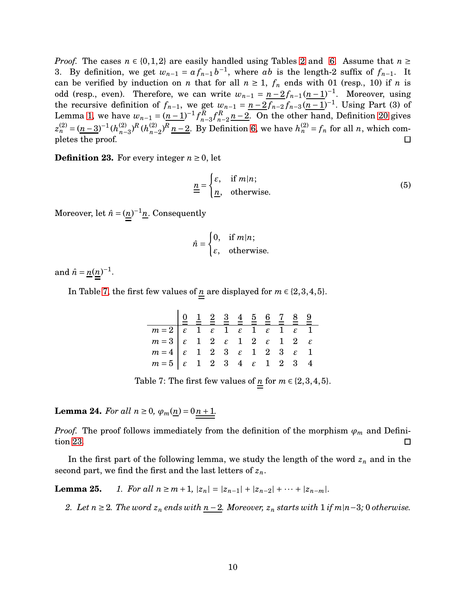*Proof.* The cases  $n \in \{0,1,2\}$  are easily handled using Tables [2](#page-3-1) and [6.](#page-8-1) Assume that  $n \geq$ 3. By definition, we get  $w_{n-1} = af_{n-1}b^{-1}$ , where *ab* is the length-2 suffix of  $f_{n-1}$ . It can be verified by induction on *n* that for all  $n \ge 1$ ,  $f_n$  ends with 01 (resp., 10) if *n* is odd (resp., even). Therefore, we can write  $w_{n-1} = \frac{n-2f_{n-1}(n-1)}{n-1}$ . Moreover, using the recursive definition of  $f_{n-1}$ , we get  $w_{n-1} = \underline{n-2} f_{n-2} f_{n-3} (\underline{n-1})^{-1}$ . Using Part (3) of Lemma [1,](#page-3-2) we have  $w_{n-1} = (n-1)^{-1} f_n^R$  $n-3$ <sup>*f*</sup> $n$ <sup>*n*</sup> *n*<sup>-2</sup><sub>*n*−2</sub>. On the other hand, Definition [20](#page-8-2) gives  $z_n^{(2)} = (n-3)^{-1} (h_{n-1}^{(2)})$ *n*−3 ) *<sup>R</sup>* (*h* (2)  $h_{n-2}^{(2)}$ , *R*<sub>*n*</sub> −2. By Definition [6,](#page-4-3) we have  $h_n^{(2)} = f_n$  for all *n*, which completes the proof.

<span id="page-9-1"></span>**Definition 23.** For every integer  $n \geq 0$ , let

$$
\underline{\underline{n}} = \begin{cases} \varepsilon, & \text{if } m|n; \\ \underline{n}, & \text{otherwise.} \end{cases}
$$
 (5)

Moreover, let  $\hat{n} = (\underline{n})^{-1} \underline{n}$ . Consequently

$$
\hat{n} = \begin{cases} 0, & \text{if } m|n; \\ \varepsilon, & \text{otherwise.} \end{cases}
$$

and  $\hat{n} = \frac{n(n)^{-1}}{n!}$ .

In Table [7,](#page-9-0) the first few values of  $\underline{n}$  are displayed for  $m \in \{2,3,4,5\}$ .

| $\begin{array}{ c cccc } \hline m=2&\epsilon&1&\epsilon&1&\epsilon&1&\epsilon&1&\epsilon&1\\ \hline m=3&\epsilon&1&2&\epsilon&1&2&\epsilon&1&2&\epsilon \end{array}$ |  |  |  |  |  |
|----------------------------------------------------------------------------------------------------------------------------------------------------------------------|--|--|--|--|--|
|                                                                                                                                                                      |  |  |  |  |  |
|                                                                                                                                                                      |  |  |  |  |  |
|                                                                                                                                                                      |  |  |  |  |  |

<span id="page-9-0"></span>Table 7: The first few values of  $\underline{n}$  for  $m \in \{2,3,4,5\}$ .

<span id="page-9-2"></span>**Lemma 24.** *For all*  $n \ge 0$ ,  $\varphi_m(n) = 0 \cdot n + 1$ .

*Proof.* The proof follows immediately from the definition of the morphism  $\varphi_m$  and Definition [23.](#page-9-1)  $\Box$ 

In the first part of the following lemma, we study the length of the word *z<sup>n</sup>* and in the second part, we find the first and the last letters of *zn*.

**Lemma 25.** *1. For all*  $n \ge m+1$ ,  $|z_n| = |z_{n-1}| + |z_{n-2}| + \cdots + |z_{n-m}|$ .

*2. Let*  $n \geq 2$ *. The word*  $z_n$  *ends with*  $n-2$ *. Moreover,*  $z_n$  *starts with* 1 *if*  $m|n-3$ *;* 0 *otherwise.*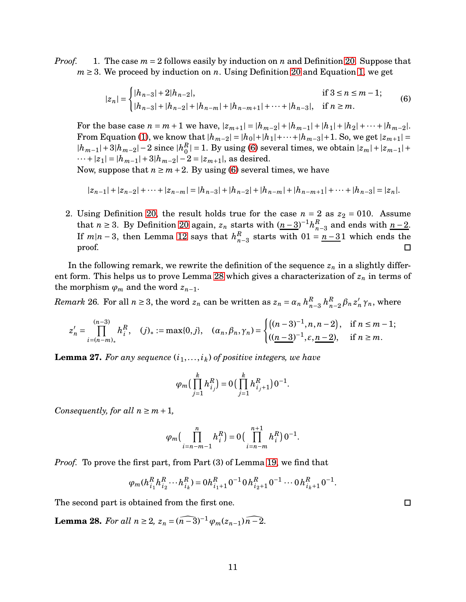*Proof.* 1. The case  $m = 2$  follows easily by induction on *n* and Definition [20.](#page-8-2) Suppose that *m* ≥ 3. We proceed by induction on *n*. Using Definition [20](#page-8-2) and Equation [1,](#page-5-1) we get

<span id="page-10-0"></span>
$$
|z_n| = \begin{cases} |h_{n-3}| + 2|h_{n-2}|, & \text{if } 3 \le n \le m-1; \\ |h_{n-3}| + |h_{n-2}| + |h_{n-m}| + |h_{n-m+1}| + \dots + |h_{n-3}|, & \text{if } n \ge m. \end{cases}
$$
(6)

For the base case  $n = m + 1$  we have,  $|z_{m+1}| = |h_{m-2}| + |h_{m-1}| + |h_1| + |h_2| + \cdots + |h_{m-2}|$ . From Equation [\(1\)](#page-5-1), we know that  $|h_{m-2}| = |h_0| + |h_1| + \cdots + |h_{m-3}| + 1$ . So, we get  $|z_{m+1}| =$  $|h_{m-1}|+3|h_{m-2}|-2$  since  $|h_0^R|$  $\binom{R}{0}$  = 1. By using [\(6\)](#page-10-0) several times, we obtain  $|z_m| + |z_{m-1}| +$  $\cdots$ + $|z_1|$  =  $|h_{m-1}|$  + 3 $|h_{m-2}|$  – 2 =  $|z_{m+1}|$ , as desired.

Now, suppose that  $n \geq m+2$ . By using [\(6\)](#page-10-0) several times, we have

$$
|z_{n-1}|+|z_{n-2}|+\cdots+|z_{n-m}|=|h_{n-3}|+|h_{n-2}|+|h_{n-m}|+|h_{n-m+1}|+\cdots+|h_{n-3}|=|z_n|.
$$

2. Using Definition [20,](#page-8-2) the result holds true for the case  $n = 2$  as  $z_2 = 010$ . Assume that *n* ≥ 3. By Definition [20](#page-8-2) again,  $z_n$  starts with  $(n-3)^{-1}h_n^R$  $\frac{R}{n-3}$  and ends with <u>n − 2</u>. If  $m|n-3$ , then Lemma [12](#page-5-2) says that  $h_n^R$  $\binom{n}{n-3}$  starts with  $01 = \frac{n-3}{1}$  which ends the proof. □

In the following remark, we rewrite the definition of the sequence  $z_n$  in a slightly different form. This helps us to prove Lemma [28](#page-10-1) which gives a characterization of *z<sup>n</sup>* in terms of the morphism  $\varphi_m$  and the word  $z_{n-1}$ .

<span id="page-10-2"></span>*Remark* 26. For all  $n \geq 3$ , the word  $z_n$  can be written as  $z_n = \alpha_n h_n^R$ *n*−3 *h R*  $_{n-2}^R$   $\beta_n$   $z'_n$   $\gamma_n$ , where

$$
z'_{n} = \prod_{i=(n-m)_{*}}^{(n-3)} h_{i}^{R}, \quad (j)_{*} := \max\{0, j\}, \quad (\alpha_{n}, \beta_{n}, \gamma_{n}) = \begin{cases} \left((n-3)^{-1}, n, n-2\right), & \text{if } n \leq m-1; \\ \left((n-3)^{-1}, \varepsilon, n-2\right), & \text{if } n \geq m. \end{cases}
$$

<span id="page-10-3"></span>**Lemma 27.** For any sequence  $(i_1,...,i_k)$  of positive integers, we have

$$
\varphi_m\left(\prod_{j=1}^k h_{i_j}^R\right) = 0\left(\prod_{j=1}^k h_{i_j+1}^R\right)0^{-1}.
$$

*Consequently, for all*  $n \geq m+1$ ,

$$
\varphi_m\left(\prod_{i=n-m-1}^n h_i^R\right) = 0\left(\prod_{i=n-m}^{n+1} h_i^R\right) 0^{-1}.
$$

*Proof.* To prove the first part, from Part (3) of Lemma [19,](#page-7-3) we find that

$$
\varphi_m(h_{i_1}^R h_{i_2}^R \cdots h_{i_k}^R) = 0 \cdot h_{i_1+1}^R 0^{-1} 0 \cdot h_{i_2+1}^R 0^{-1} \cdots 0 \cdot h_{i_k+1}^R 0^{-1}.
$$

The second part is obtained from the first one.

<span id="page-10-1"></span>**Lemma 28.** *For all*  $n \geq 2$ ,  $z_n = (n-3)^{-1} \varphi_m(z_{n-1}) \widehat{n-2}$ .

 $\Box$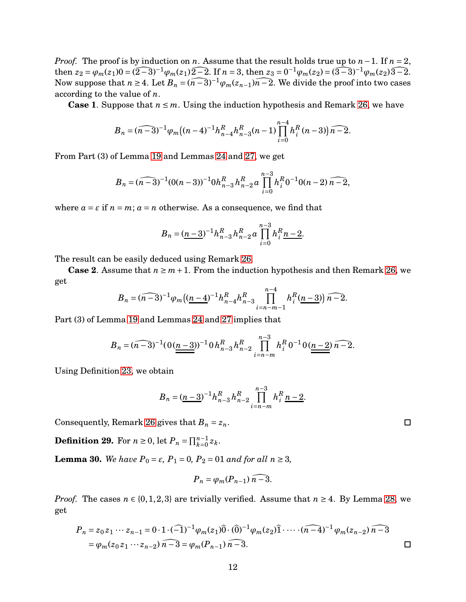*Proof.* The proof is by induction on *n*. Assume that the result holds true up to *n* − 1. If *n* = 2, then  $z_2 = \varphi_m(z_1)0 = (\widehat{2-3})^{-1}\varphi_m(z_1)\widehat{2-2}$ . If  $n = 3$ , then  $z_3 = 0^{-1}\varphi_m(z_2) = (\widehat{3-3})^{-1}\varphi_m(z_2)\widehat{3-2}$ . Now suppose that  $n \geq 4$ . Let  $B_n = \widehat{(n-3)}^{-1} \varphi_m(z_{n-1}) \widehat{n-2}$ . We divide the proof into two cases according to the value of *n*.

**Case 1.** Suppose that  $n \leq m$ . Using the induction hypothesis and Remark [26,](#page-10-2) we have

$$
B_n = \widehat{(n-3)}^{-1} \varphi_m \big( (n-4)^{-1} h_{n-4}^R h_{n-3}^R (n-1) \prod_{i=0}^{n-4} h_i^R (n-3) \big) \widehat{n-2}.
$$

From Part (3) of Lemma [19](#page-7-3) and Lemmas [24](#page-9-2) and [27,](#page-10-3) we get

$$
B_n = \widehat{(n-3)}^{-1}(0(n-3))^{-1}0h_{n-3}^R h_{n-2}^R a \prod_{i=0}^{n-3} h_i^R 0^{-1}0(n-2) \widehat{n-2},
$$

where  $a = \varepsilon$  if  $n = m$ ;  $a = n$  otherwise. As a consequence, we find that

$$
B_n = (\underline{n-3})^{-1} h_{n-3}^R h_{n-2}^R a \prod_{i=0}^{n-3} h_i^R \underline{n-2}.
$$

The result can be easily deduced using Remark [26.](#page-10-2)

**Case 2.** Assume that  $n \geq m+1$ . From the induction hypothesis and then Remark [26,](#page-10-2) we get

$$
B_n = \widehat{(n-3)}^{-1} \varphi_m \big( \underbrace{(n-4)}^{-1} h_{n-4}^R h_{n-3}^R \prod_{i=n-m-1}^{n-4} h_i^R(\underbrace{n-3}) \widehat{n-2}.
$$

Part (3) of Lemma [19](#page-7-3) and Lemmas [24](#page-9-2) and [27](#page-10-3) implies that

$$
B_n = (n-3)^{-1} (0(\underline{n-3}))^{-1} 0 h_{n-3}^R h_{n-2}^R \prod_{i=n-m}^{n-3} h_i^R 0^{-1} 0(\underline{n-2}) n^{-2}.
$$

Using Definition [23,](#page-9-1) we obtain

$$
B_n = \left(\underline{n-3}\right)^{-1} h_{n-3}^R h_{n-2}^R \prod_{i=n-m}^{n-3} h_i^R \underline{n-2}.
$$

Consequently, Remark [26](#page-10-2) gives that  $B_n = z_n$ .

**Definition 29.** For  $n \ge 0$ , let  $P_n = \prod_{k=0}^{n-1} z_k$ .

<span id="page-11-0"></span>**Lemma 30.** *We have*  $P_0 = ε$ *,*  $P_1 = 0$ *,*  $P_2 = 01$  *and for all*  $n ≥ 3$ *,* 

$$
P_n = \varphi_m(P_{n-1})\,\overline{n-3}.
$$

*Proof.* The cases  $n \in \{0, 1, 2, 3\}$  are trivially verified. Assume that  $n \geq 4$ . By Lemma [28,](#page-10-1) we get

$$
P_n = z_0 z_1 \cdots z_{n-1} = 0 \cdot 1 \cdot (\widehat{-1})^{-1} \varphi_m(z_1) \widehat{0} \cdot (\widehat{0})^{-1} \varphi_m(z_2) \widehat{1} \cdots \cdot (\widehat{n-4})^{-1} \varphi_m(z_{n-2}) \widehat{n-3}
$$
  
=  $\varphi_m(z_0 z_1 \cdots z_{n-2}) \widehat{n-3} = \varphi_m(P_{n-1}) \widehat{n-3}.$ 

 $\Box$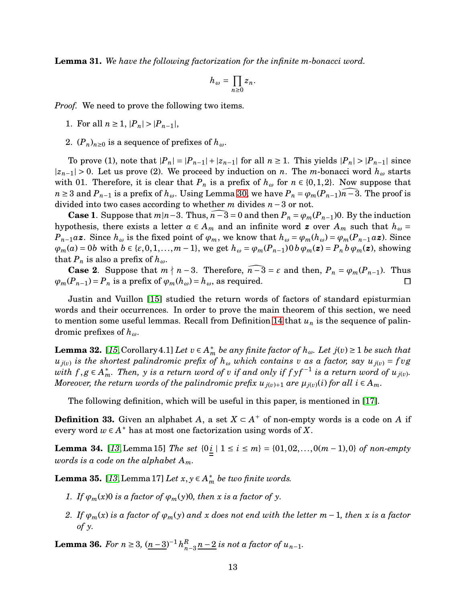<span id="page-12-3"></span>**Lemma 31.** *We have the following factorization for the infinite m-bonacci word.*

$$
h_\omega=\prod_{n\geq 0}z_n.
$$

*Proof.* We need to prove the following two items.

1. For all  $n \geq 1$ ,  $|P_n| > |P_{n-1}|$ ,

2.  $(P_n)_{n\geq 0}$  is a sequence of prefixes of  $h_\omega$ .

To prove (1), note that  $|P_n| = |P_{n-1}| + |z_{n-1}|$  for all  $n \ge 1$ . This yields  $|P_n| > |P_{n-1}|$  since  $|z_{n-1}| > 0$ . Let us prove (2). We proceed by induction on *n*. The *m*-bonacci word  $h_{\omega}$  starts with 01. Therefore, it is clear that  $P_n$  is a prefix of  $h_\omega$  for  $n \in \{0, 1, 2\}$ . Now suppose that *n* ≥ 3 and  $P_{n-1}$  is a prefix of  $h_{\omega}$ . Using Lemma [30,](#page-11-0) we have  $P_n = \varphi_m(P_{n-1})\overline{n-3}$ . The proof is divided into two cases according to whether *m* divides *n* −3 or not.

**Case 1**. Suppose that  $m|n-3$ . Thus,  $n-\overline{3}=0$  and then  $P_n = \varphi_m(P_{n-1})$ 0. By the induction hypothesis, there exists a letter  $a \in A_m$  and an infinite word **z** over  $A_m$  such that  $h_\omega =$  $P_{n-1}a\mathbf{z}$ . Since  $h_{\omega}$  is the fixed point of  $\varphi_m$ , we know that  $h_{\omega} = \varphi_m(h_{\omega}) = \varphi_m(P_{n-1}a\mathbf{z})$ . Since  $\varphi_m(a) = 0$  with  $b \in \{\varepsilon, 0, 1, ..., m-1\}$ , we get  $h_\omega = \varphi_m(P_{n-1}) 0 b \varphi_m(z) = P_n b \varphi_m(z)$ , showing that  $P_n$  is also a prefix of  $h_\omega$ .

**Case 2**. Suppose that  $m \nmid n-3$ . Therefore,  $n-3 = \varepsilon$  and then,  $P_n = \varphi_m(P_{n-1})$ . Thus  $\varphi_m(P_{n-1}) = P_n$  is a prefix of  $\varphi_m(h_\omega) = h_\omega$ , as required.  $\Box$ 

Justin and Vuillon [\[15\]](#page-22-8) studied the return words of factors of standard episturmian words and their occurrences. In order to prove the main theorem of this section, we need to mention some useful lemmas. Recall from Definition [14](#page-5-3) that  $u_n$  is the sequence of palindromic prefixes of *hω*.

<span id="page-12-1"></span>**Lemma 32.** [[15](#page-22-8), Corollary 4.1] *Let*  $v \in A_m^*$  *be any finite factor of*  $h_\omega$ *. Let*  $j(v) \ge 1$  *be such that*  $u_{j(v)}$  *is the shortest palindromic prefix of*  $h_{\omega}$  *which contains v as a factor, say*  $u_{j(v)} = f v g$  $with \ f,g \in A_m^*$ . Then,  $y$  is a return word of  $v$  if and only if  $f$   $y f^{-1}$  is a return word of  $u_{j(v)}$ . *Moreover, the return words of the palindromic prefix*  $u_{j(v)+1}$  are  $\mu_{j(v)}(i)$  for all  $i \in A_m$ .

The following definition, which will be useful in this paper, is mentioned in [\[17\]](#page-22-11).

**Definition 33.** Given an alphabet *A*, a set  $X \subset A^+$  of non-empty words is a code on *A* if every word  $w \in A^*$  has at most one factorization using words of X.

<span id="page-12-4"></span>**Lemma 34.** [[13](#page-22-6),Lemma 15] *The set*  ${0 \neq i}$  | 1 ≤ *i* ≤ *m*} = {01,02,...,0(*m* − 1),0} *of non-empty words is a code on the alphabet Am.*

<span id="page-12-0"></span>**Lemma 35.** [[13](#page-22-6), Lemma 17] *Let*  $x, y \in A_m^*$  *be two finite words.* 

- *1. If*  $\varphi_m(x)$  *o is a factor of*  $\varphi_m(y)$ *0, then x is a factor of y*.
- *2. If ϕm*(*x*) *is a factor of ϕm*(*y*) *and x does not end with the letter m*−1*, then x is a factor of y.*

<span id="page-12-2"></span>**Lemma 36.** *For*  $n \geq 3$ ,  $(n-3)^{-1} h_n^R$  $\sum_{n=3}^{R}$  *n*−2 *is not a factor of u*<sub>*n*−1</sub>*.*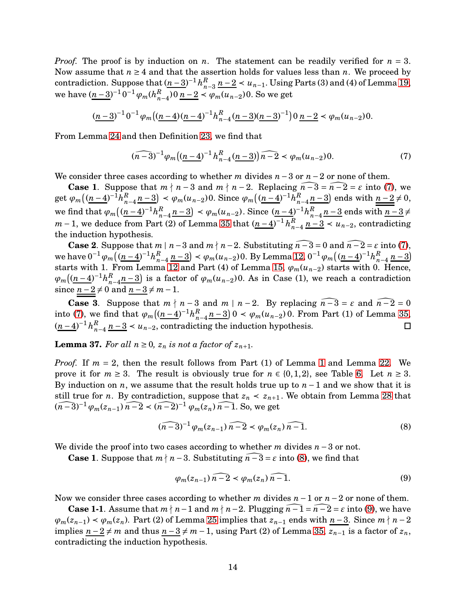*Proof.* The proof is by induction on *n*. The statement can be readily verified for  $n = 3$ . Now assume that  $n \geq 4$  and that the assertion holds for values less than *n*. We proceed by contradiction. Suppose that  $(n-3)^{-1} h_n^R$ *n*<sup>*n*</sup><sub>*n*−3</sub> *n* − 2 < *u*<sub>*n*−1</sub>. Using Parts (3) and (4) of Lemma [19,](#page-7-3) we have  $(\underline{n-3})^{-1} 0^{-1} \varphi_m(h_n^R)$ *n*−4 )0 *n* −2 ≺ *ϕm*(*un*−2)0. So we get

$$
(\underline{n-3})^{-1} 0^{-1} \varphi_m\left((\underline{n-4})(\underline{n-4})^{-1} h_{n-4}^R (\underline{n-3})(\underline{n-3})^{-1}\right) 0 \underline{n-2} \prec \varphi_m(u_{n-2}) 0.
$$

From Lemma [24](#page-9-2) and then Definition [23,](#page-9-1) we find that

<span id="page-13-0"></span>
$$
(\widehat{n-3})^{-1}\varphi_m\big((\underline{n-4})^{-1}h_{n-4}^R(\underline{n-3})\big)\widehat{n-2}\prec\varphi_m(u_{n-2})0.\tag{7}
$$

We consider three cases according to whether *m* divides *n* −3 or *n* −2 or none of them.

**Case 1**. Suppose that  $m \nmid n-3$  and  $m \nmid n-2$ . Replacing  $n-\overline{3} = n-\overline{2} = \varepsilon$  into [\(7\)](#page-13-0), we get  $\varphi_m \left( (n-4)^{-1} h_n^R \right)$  $\left( \frac{R}{n-4} \frac{n-3}{2} \right)$  <  $\varphi_m(u_{n-2})$ 0. Since  $\varphi_m\left( \frac{(n-4)}{2} \right)$ <sup>-1</sup> $h_n^R$  $\binom{R}{n-4}$  *n* − 3) ends with  $\underline{\underbrace{n-2}} \neq 0$ , we find that  $\varphi_m \left( \frac{(n-4)}{n} \right)^{-1} h_n^R$  $\left( \frac{R}{n-4} \cdot \frac{n-3}{2} \right) \leq \varphi_m(u_{n-2})$ . Since  $\left( \frac{n-4}{2} \right)^{-1} h_n^R$  $\frac{n}{n-4}$  *n*−3 ends with  $\frac{n-3}{4}$ ≠ *m* − 1, we deduce from Part (2) of Lemma [35](#page-12-0) that  $(n-4)^{-1} h_n^R$  $\frac{R}{n-4}$  <u>n</u>−3 < *u*<sub>n−2</sub>, contradicting the induction hypothesis.

**Case 2**. Suppose that *m* | *n*−3 and *m*  $\nmid$  *n*−2. Substituting  $\overline{n}$ −3 = 0 and  $\overline{n}$ −2 =  $\varepsilon$  into [\(7\)](#page-13-0), we have  $0^{-1}\varphi_m\left((\underline{n-4})^{-1}h_n^R\right)$ *n*<sup>−4</sup>  $n-3$ ) <  $\varphi_m(u_{n-2})$ 0. By Lemma [12,](#page-5-2) 0<sup>-1</sup> $\varphi_m((\underline{n-4})^{-1}h_n^R)$  $\binom{n}{n-4}$   $\binom{n-3}{2}$ starts with 1. From Lemma [12](#page-5-2) and Part (4) of Lemma [15,](#page-6-3) *ϕm*(*un*−2) starts with 0. Hence,  $\varphi_m \left( (n-4)^{-1} h_n^R \right)$  $\binom{R}{n-4}$  *n*−3) is a factor of  $\varphi_m(u_{n-2})$ 0. As in Case (1), we reach a contradiction since  $n-2 \neq 0$  and  $n-3 \neq m-1$ .

**Case 3**. Suppose that  $m \nmid n-3$  and  $m \mid n-2$ . By replacing  $n-3 = \varepsilon$  and  $n-2 = 0$ into [\(7\)](#page-13-0), we find that  $\varphi_m \left( (n-4)^{-1} h_n^R \right)$  $_{n-4}^{R}$  *n*−3) 0 < *ϕ*<sub>*m*</sub>(*u*<sub>*n*−2</sub>) 0. From Part (1) of Lemma [35,](#page-12-0)  $(n-4)^{-1}h_n^R$  $\frac{n}{n-4}$   $\frac{n-3}{n-2}$  <  $u_{n-2}$ , contradicting the induction hypothesis.  $\Box$ 

<span id="page-13-3"></span>**Lemma 37.** For all  $n \geq 0$ ,  $z_n$  is not a factor of  $z_{n+1}$ .

*Proof.* If  $m = 2$ , then the result follows from Part (1) of Lemma [1](#page-3-2) and Lemma [22.](#page-8-0) We prove it for  $m \geq 3$ . The result is obviously true for  $n \in \{0, 1, 2\}$ , see Table [6.](#page-8-1) Let  $n \geq 3$ . By induction on *n*, we assume that the result holds true up to *n* −1 and we show that it is still true for *n*. By contradiction, suppose that  $z_n \leq z_{n+1}$ . We obtain from Lemma [28](#page-10-1) that  $(\widehat{n-3})^{-1} \varphi_m(z_{n-1}) \widehat{n-2} \prec (\widehat{n-2})^{-1} \varphi_m(z_n) \widehat{n-1}$ . So, we get

<span id="page-13-1"></span>
$$
(\widehat{n-3})^{-1} \varphi_m(z_{n-1}) \widehat{n-2} \prec \varphi_m(z_n) \widehat{n-1}.\tag{8}
$$

We divide the proof into two cases according to whether *m* divides *n* −3 or not.

**Case 1.** Suppose that  $m \nmid n-3$ . Substituting  $n-3 = \varepsilon$  into [\(8\)](#page-13-1), we find that

<span id="page-13-2"></span>
$$
\varphi_m(z_{n-1})\widehat{n-2} \prec \varphi_m(z_n)\widehat{n-1}.\tag{9}
$$

Now we consider three cases according to whether *m* divides *n* −1 or *n* −2 or none of them.

**Case 1-1**. Assume that  $m \nmid n-1$  and  $m \nmid n-2$ . Plugging  $n-1 = n-2 = \varepsilon$  into [\(9\)](#page-13-2), we have  $\varphi_m(z_{n-1}) \prec \varphi_m(z_n)$ . Part (2) of Lemma 25 implies that  $z_{n-1}$  ends with  $n-3$ . Since  $m \nmid n-2$ implies  $n-2 \neq m$  and thus  $n-3 \neq m-1$ , using Part (2) of Lemma [35,](#page-12-0)  $z_{n-1}$  is a factor of  $z_n$ , contradicting the induction hypothesis.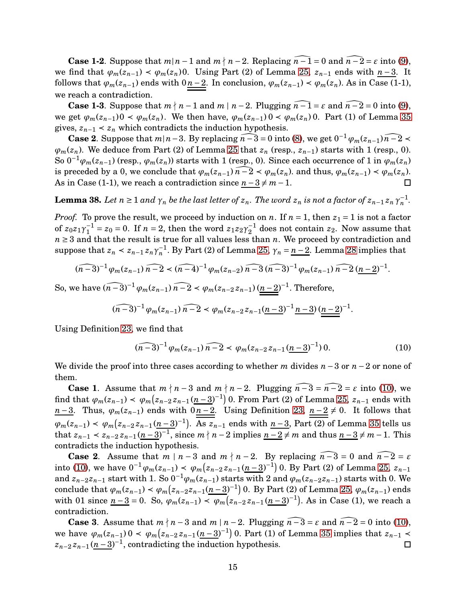**Case 1-2**. Suppose that  $m|n-1$  and  $m \nmid n-2$ . Replacing  $\widehat{n-1} = 0$  and  $\widehat{n-2} = \varepsilon$  into [\(9\)](#page-13-2), we find that  $\varphi_m(z_{n-1}) < \varphi_m(z_n)$ . Using Part (2) of Lemma 25,  $z_{n-1}$  ends with  $n-3$ . It follows that  $\varphi_m(z_{n-1})$  ends with  $0 \underline{n-2}$ . In conclusion,  $\varphi_m(z_{n-1}) \prec \varphi_m(z_n)$ . As in Case (1-1), we reach a contradiction.

**Case 1-3**. Suppose that  $m \nmid n-1$  and  $m \mid n-2$ . Plugging  $n - \overline{1} = \varepsilon$  and  $n - \overline{2} = 0$  into [\(9\)](#page-13-2), we get  $\varphi_m(z_{n-1})0 \leq \varphi_m(z_n)$ . We then have,  $\varphi_m(z_{n-1})0 \leq \varphi_m(z_n)0$ . Part (1) of Lemma [35](#page-12-0) gives,  $z_{n-1}$  <  $z_n$  which contradicts the induction hypothesis.

**Case 2**. Suppose that  $m|n-3$ . By replacing  $\widehat{n-3} = 0$  into [\(8\)](#page-13-1), we get  $0^{-1} \varphi_m(z_{n-1}) \widehat{n-2}$  $\varphi_m(z_n)$ . We deduce from Part (2) of Lemma 25 that  $z_n$  (resp.,  $z_{n-1}$ ) starts with 1 (resp., 0). So  $0^{-1}\varphi_m(z_{n-1})$  (resp.,  $\varphi_m(z_n)$ ) starts with 1 (resp., 0). Since each occurrence of 1 in  $\varphi_m(z_n)$ is preceded by a 0, we conclude that  $\varphi_m(z_{n-1}) \cap \widehat{n-2} < \varphi_m(z_n)$  and thus,  $\varphi_m(z_{n-1}) < \varphi_m(z_n)$ . As in Case (1-1), we reach a contradiction since  $n-3 \neq m-1$ .

<span id="page-14-1"></span>**Lemma 38.** Let  $n \ge 1$  and  $\gamma_n$  be the last letter of  $z_n$ . The word  $z_n$  is not a factor of  $z_{n-1}z_n\gamma_n^{-1}$ .

*Proof.* To prove the result, we proceed by induction on *n*. If  $n = 1$ , then  $z_1 = 1$  is not a factor of  $z_0z_1\gamma_1^{-1}$  $\sigma_1^{-1} = z_0 = 0$ . If  $n = 2$ , then the word  $z_1 z_2 \gamma_2^{-1}$  $_{2}^{-1}$  does not contain  $z_2$ . Now assume that  $n \geq 3$  and that the result is true for all values less than *n*. We proceed by contradiction and suppose that  $z_n < z_{n-1} z_n \gamma_n^{-1}$ . By Part (2) of Lemma 25,  $\gamma_n = n-2$ . Lemma [28](#page-10-1) implies that

$$
(\widehat{n-3})^{-1}\varphi_m(z_{n-1})\widehat{n-2} \prec (\widehat{n-4})^{-1}\varphi_m(z_{n-2})\widehat{n-3}\widehat{(n-3)}^{-1}\varphi_m(z_{n-1})\widehat{n-2}\widehat{(n-2)}^{-1}.
$$

So, we have  $(\widehat{n-3})^{-1} \varphi_m(z_{n-1}) \widehat{n-2} \prec \varphi_m(z_{n-2}z_{n-1}) \left(\underline{n-2}\right)^{-1}$ . Therefore,

$$
(\widehat{n-3})^{-1}\varphi_m(z_{n-1})\widehat{n-2} \prec \varphi_m(z_{n-2}z_{n-1}\underline{(n-3)}^{-1}\underline{n-3})\underbrace{(n-2)}^{-1}.
$$

Using Definition [23,](#page-9-1) we find that

<span id="page-14-0"></span>
$$
(\widehat{n-3})^{-1} \varphi_m(z_{n-1}) \widehat{n-2} \prec \varphi_m(z_{n-2}z_{n-1}(\underline{n-3})^{-1}) 0. \tag{10}
$$

We divide the proof into three cases according to whether *m* divides *n* −3 or *n* −2 or none of them.

**Case 1**. Assume that  $m \nmid n-3$  and  $m \nmid n-2$ . Plugging  $n-3 = n-2 = \varepsilon$  into [\(10\)](#page-14-0), we find that  $\varphi_m(z_{n-1}) \prec \varphi_m\big(z_{n-2}z_{n-1}(\underline{n-3})^{-1}\big)$  0. From Part (2) of Lemma 25,  $z_{n-1}$  ends with *n* −3. Thus,  $\varphi_m(z_{n-1})$  ends with  $0n-2$ . Using Definition [23,](#page-9-1)  $n-2 \neq 0$ . It follows that  $\varphi_m(z_{n-1}) \prec \varphi_m(z_{n-2}z_{n-1}(\underline{n-3})^{-1})$ . As  $z_{n-1}$  ends with  $\underline{n-3}$ , Part (2) of Lemma [35](#page-12-0) tells us that  $z_{n-1} \lt z_{n-2} z_{n-1} (n-3)^{-1}$ , since  $m \nmid n-2$  implies  $n-2 \neq m$  and thus  $n-3 \neq m-1$ . This contradicts the induction hypothesis.

**Case 2.** Assume that  $m | n-3$  and  $m \nmid n-2$ . By replacing  $n-3 = 0$  and  $n-2 = \varepsilon$ into [\(10\)](#page-14-0), we have  $0^{-1}\varphi_m(z_{n-1}) \leq \varphi_m(z_{n-2}z_{n-1}(\underline{n-3})^{-1})$  0. By Part (2) of Lemma 25,  $z_{n-1}$ and  $z_{n-2}z_{n-1}$  start with 1. So  $0^{-1}\varphi_m(z_{n-1})$  starts with 2 and  $\varphi_m(z_{n-2}z_{n-1})$  starts with 0. We conclude that  $\varphi_m(z_{n-1}) \prec \varphi_m(z_{n-2}z_{n-1}(\underline{n-3})^{-1})$  0. By Part (2) of Lemma 25,  $\varphi_m(z_{n-1})$  ends with 01 since  $n-3 = 0$ . So,  $\varphi_m(z_{n-1}) \leq \varphi_m(z_{n-2}z_{n-1}(\underline{n-3})^{-1})$ . As in Case (1), we reach a contradiction.

**Case 3**. Assume that  $m \nmid n-3$  and  $m \mid n-2$ . Plugging  $\widehat{n-3} = \varepsilon$  and  $\widehat{n-2} = 0$  into [\(10\)](#page-14-0), we have  $φ_m(z_{n-1}) 0 < φ_m(z_{n-2}z_{n-1}(\underline{n-3})^{-1}) 0$ . Part (1) of Lemma [35](#page-12-0) implies that  $z_{n-1}$  <  $z_{n-2}z_{n-1}$  ( $n-3$ )<sup>-1</sup>, contradicting the induction hypothesis.  $\Box$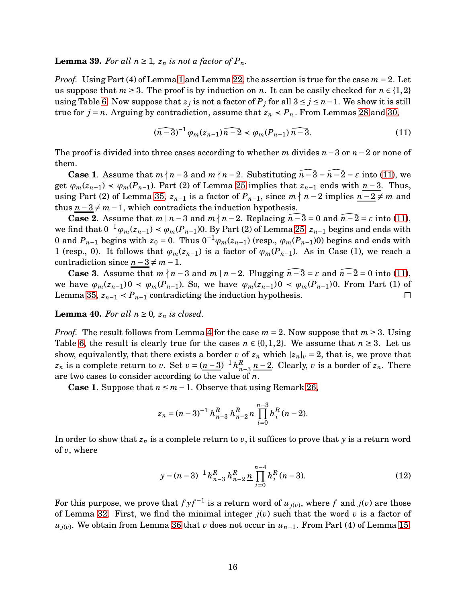<span id="page-15-3"></span>**Lemma 39.** For all  $n \geq 1$ ,  $z_n$  is not a factor of  $P_n$ .

*Proof.* Using Part (4) of Lemma [1](#page-3-2) and Lemma [22,](#page-8-0) the assertion is true for the case *m* = 2. Let us suppose that  $m \geq 3$ . The proof is by induction on *n*. It can be easily checked for  $n \in \{1,2\}$ using Table [6.](#page-8-1) Now suppose that  $z_j$  is not a factor of  $P_j$  for all 3 ≤  $j$  ≤  $n-1$ . We show it is still true for  $j = n$ . Arguing by contradiction, assume that  $z_n < P_n$ . From Lemmas [28](#page-10-1) and [30,](#page-11-0)

<span id="page-15-0"></span>
$$
(\widehat{n-3})^{-1}\varphi_m(z_{n-1})\widehat{n-2} \prec \varphi_m(P_{n-1})\widehat{n-3}.\tag{11}
$$

The proof is divided into three cases according to whether *m* divides *n*−3 or *n*−2 or none of them.

**Case 1**. Assume that  $m \nmid n-3$  and  $m \nmid n-2$ . Substituting  $n-3 = n-2 = \varepsilon$  into [\(11\)](#page-15-0), we get  $\varphi_m(z_{n-1}) \prec \varphi_m(P_{n-1})$ . Part (2) of Lemma 25 implies that  $z_{n-1}$  ends with  $n-3$ . Thus, using Part (2) of Lemma [35,](#page-12-0)  $z_{n-1}$  is a factor of  $P_{n-1}$ , since  $m \nmid n-2$  implies  $n-2 \neq m$  and thus  $n-3 \neq m-1$ , which contradicts the induction hypothesis.

**Case 2.** Assume that  $m \mid n-3$  and  $m \nmid n-2$ . Replacing  $\overline{n-3} = 0$  and  $\overline{n-2} = \varepsilon$  into [\(11\)](#page-15-0), we find that  $0^{-1}\varphi_m(z_{n-1}) \prec \varphi_m(P_{n-1})$ . By Part (2) of Lemma 25,  $z_{n-1}$  begins and ends with 0 and  $P_{n-1}$  begins with  $z_0 = 0$ . Thus  $0^{-1}\varphi_m(z_{n-1})$  (resp.,  $\varphi_m(P_{n-1})$ 0) begins and ends with 1 (resp., 0). It follows that  $\varphi_m(z_{n-1})$  is a factor of  $\varphi_m(P_{n-1})$ . As in Case (1), we reach a contradiction since  $n-3 \neq m-1$ .

**Case 3**. Assume that  $m \nmid n-3$  and  $m \mid n-2$ . Plugging  $n-3 = \varepsilon$  and  $n-2 = 0$  into [\(11\)](#page-15-0), we have  $\varphi_m(z_{n-1})0 \prec \varphi_m(P_{n-1})$ . So, we have  $\varphi_m(z_{n-1})0 \prec \varphi_m(P_{n-1})0$ . From Part (1) of Lemma [35,](#page-12-0)  $z_{n-1}$  <  $P_{n-1}$  contradicting the induction hypothesis.  $\Box$ 

<span id="page-15-2"></span>**Lemma 40.** For all  $n \geq 0$ ,  $z_n$  is closed.

*Proof.* The result follows from Lemma [4](#page-4-2) for the case  $m = 2$ . Now suppose that  $m \geq 3$ . Using Table [6,](#page-8-1) the result is clearly true for the cases  $n \in \{0, 1, 2\}$ . We assume that  $n \geq 3$ . Let us show, equivalently, that there exists a border *v* of  $z_n$  which  $|z_n|$ <sub>*v*</sub> = 2, that is, we prove that *z*<sup>*n*</sup> is a complete return to *v*. Set  $v = (n-3)^{-1} h_n^R$  $\sum_{n=3}^{K}$  *n*−2. Clearly, *v* is a border of *z*<sub>*n*</sub>. There are two cases to consider according to the value of *n*.

**Case 1**. Suppose that  $n \leq m-1$ . Observe that using Remark [26,](#page-10-2)

$$
z_n = (n-3)^{-1} h_{n-3}^R h_{n-2}^R n \prod_{i=0}^{n-3} h_i^R (n-2).
$$

In order to show that  $z_n$  is a complete return to  $v$ , it suffices to prove that  $y$  is a return word of *v*, where

<span id="page-15-1"></span>
$$
y = (n-3)^{-1} h_{n-3}^R h_{n-2}^R \prod_{i=0}^{n-4} h_i^R (n-3).
$$
 (12)

For this purpose, we prove that  $f y f^{-1}$  is a return word of  $u_{j(v)}$ , where  $f$  and  $j(v)$  are those of Lemma [32.](#page-12-1) First, we find the minimal integer *j*(*v*) such that the word *v* is a factor of *uj*(*v*) . We obtain from Lemma [36](#page-12-2) that *v* does not occur in *un*−1. From Part (4) of Lemma [15,](#page-6-3)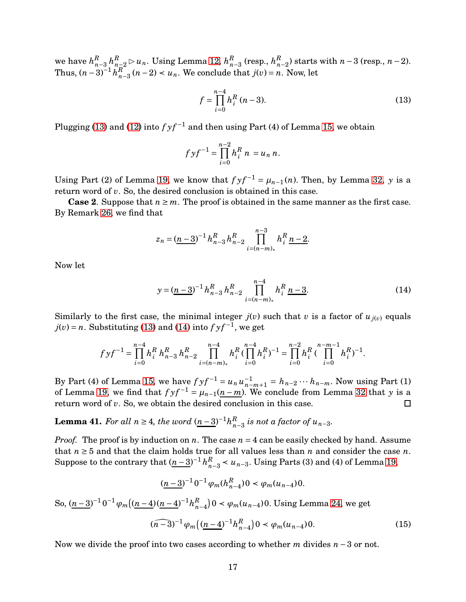we have  $h_n^R$  $^R_{n-3}$  *h*<sup>*R*</sup><sub> $n-2$ </sub> ⊳ *u*<sub>*n*</sub>. Using Lemma [12,](#page-5-2) *h*<sup>*R*</sup> $^R_n$ *n*−3 (resp., *h R*  $_{n-2}^{R}$ ) starts with *n* − 3 (resp., *n* − 2). Thus,  $(n-3)^{-1} h_n^R$  $n_{n-3}$  (*n* − 2) < *u<sub>n</sub>*. We conclude that *j*(*v*) = *n*. Now, let

<span id="page-16-0"></span>
$$
f = \prod_{i=0}^{n-4} h_i^R (n-3).
$$
 (13)

Plugging [\(13\)](#page-16-0) and [\(12\)](#page-15-1) into  $f y f^{-1}$  and then using Part (4) of Lemma [15,](#page-6-3) we obtain

$$
f y f^{-1} = \prod_{i=0}^{n-2} h_i^R n = u_n n.
$$

Using Part (2) of Lemma [19,](#page-7-3) we know that  $f y f^{-1} = \mu_{n-1}(n)$ . Then, by Lemma [32,](#page-12-1) *y* is a return word of *v*. So, the desired conclusion is obtained in this case.

**Case 2.** Suppose that  $n \geq m$ . The proof is obtained in the same manner as the first case. By Remark [26,](#page-10-2) we find that

$$
z_n = (\underline{n-3})^{-1} h_{n-3}^R h_{n-2}^R \prod_{i=(n-m)_*}^{n-3} h_i^R \underline{n-2}.
$$

Now let

<span id="page-16-1"></span>
$$
y = (\underline{n-3})^{-1} h_{n-3}^R h_{n-2}^R \prod_{i=(n-m)_*}^{n-4} h_i^R \underline{n-3}.
$$
 (14)

Similarly to the first case, the minimal integer  $j(v)$  such that *v* is a factor of  $u_{j(v)}$  equals  $j(v) = n$ . Substituting [\(13\)](#page-16-0) and [\(14\)](#page-16-1) into  $f y f^{-1}$ , we get

$$
fyf^{-1} = \prod_{i=0}^{n-4} h_i^R h_{n-3}^R h_{n-2}^R \prod_{i=(n-m)_*}^{n-4} h_i^R (\prod_{i=0}^{n-4} h_i^R)^{-1} = \prod_{i=0}^{n-2} h_i^R (\prod_{i=0}^{n-m-1} h_i^R)^{-1}.
$$

By Part (4) of Lemma [15,](#page-6-3) we have  $f y f^{-1} = u_n u_{n-1}^{-1}$ *n*−*m*+1 = *hn*−<sup>2</sup> ··· *hn*−*m*. Now using Part (1) of Lemma [19,](#page-7-3) we find that  $f y f^{-1} = \mu_{n-1}(\underline{n-m})$ . We conclude from Lemma [32](#page-12-1) that *y* is a return word of *v*. So, we obtain the desired conclusion in this case.  $\Box$ 

<span id="page-16-3"></span>**Lemma 41.** For all  $n \geq 4$ , the word  $(n-3)^{-1}h_n^R$  $\binom{R}{n-3}$  *is not a factor of*  $u_{n-3}$ *.* 

*Proof.* The proof is by induction on *n*. The case  $n = 4$  can be easily checked by hand. Assume that  $n \geq 5$  and that the claim holds true for all values less than *n* and consider the case *n*. Suppose to the contrary that  $(n-3)^{-1} h_n^R$ *n*−3 ≺ *un*−3. Using Parts (3) and (4) of Lemma [19,](#page-7-3)

$$
(\underline{n-3})^{-1} 0^{-1} \varphi_m(h_{n-4}^R) 0 < \varphi_m(u_{n-4}) 0.
$$

So,  $(\underline{n-3})^{-1} 0^{-1} \varphi_m ((\underline{n-4}) (\underline{n-4})^{-1} h_n^R)$  $\binom{R}{n-4}$ 0 <  $\varphi_m(u_{n-4})$ 0. Using Lemma [24,](#page-9-2) we get

<span id="page-16-2"></span>
$$
(\widehat{(n-3)}^{-1}\varphi_m\big((\underline{n-4})^{-1}h_{n-4}^R\big)0 \prec \varphi_m(u_{n-4})0. \tag{15}
$$

Now we divide the proof into two cases according to whether *m* divides *n* −3 or not.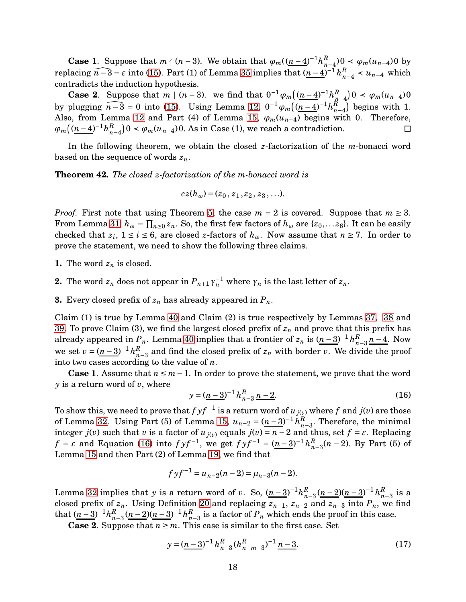**Case 1**. Suppose that  $m \nmid (n-3)$ . We obtain that  $\varphi_m((n-4)^{-1}h_n^R)$  $_{n-4}^{R}$ ) 0 < *ϕ*<sub>*m*</sub>(*u*<sub>*n*−4</sub>) 0 by replacing  $\widehat{n-3} = \varepsilon$  into [\(15\)](#page-16-2). Part (1) of Lemma [35](#page-12-0) implies that  $(\underline{n-4})^{-1} h_n^R$  $\frac{R}{n-4}$  < *u*<sub>*n*−4</sub> which contradicts the induction hypothesis.

**Case 2**. Suppose that *m* |  $(n-3)$ . we find that  $0^{-1}\varphi_m((n-4)^{-1}h_n^R)$  $\binom{R}{n-4}0 < \varphi_m(u_{n-4})0$ by plugging  $\widehat{n-3} = 0$  into [\(15\)](#page-16-2). Using Lemma [12,](#page-5-2)  $0^{-1} \varphi_m \left( \frac{(n-4)}{n} \right)^{-1} h_n^R$  $\left(\begin{matrix} R \\ n-4 \end{matrix}\right)$  begins with 1. Also, from Lemma [12](#page-5-2) and Part (4) of Lemma [15,](#page-6-3)  $\varphi_m(u_{n-4})$  begins with 0. Therefore,  $\varphi_m \left( (n-4)^{-1} h_n^R \right)$  $\binom{R}{n-4}$  0 <  $\varphi_m(u_{n-4})$  0. As in Case (1), we reach a contradiction.  $\Box$ 

In the following theorem, we obtain the closed *z*-factorization of the *m*-bonacci word based on the sequence of words *zn*.

**Theorem 42.** *The closed z-factorization of the m-bonacci word is*

$$
cz(h_{\omega})=(z_0, z_1, z_2, z_3, \ldots).
$$

*Proof.* First note that using Theorem [5,](#page-4-0) the case  $m = 2$  is covered. Suppose that  $m \geq 3$ . From Lemma [31,](#page-12-3)  $h_{\omega} = \prod_{n\geq 0} z_n$ . So, the first few factors of  $h_{\omega}$  are { $z_0$ ,... $z_6$ }. It can be easily checked that  $z_i$ ,  $1 \le i \le 6$ , are closed *z*-factors of  $h_\omega$ . Now assume that  $n \ge 7$ . In order to prove the statement, we need to show the following three claims.

- **1.** The word  $z_n$  is closed.
- **2.** The word  $z_n$  does not appear in  $P_{n+1}\gamma_n^{-1}$  where  $\gamma_n$  is the last letter of  $z_n$ .
- **3.** Every closed prefix of  $z_n$  has already appeared in  $P_n$ .

Claim (1) is true by Lemma [40](#page-15-2) and Claim (2) is true respectively by Lemmas [37,](#page-13-3) [38](#page-14-1) and [39.](#page-15-3) To prove Claim (3), we find the largest closed prefix of *z<sup>n</sup>* and prove that this prefix has already appeared in  $P_n$ . Lemma [40](#page-15-2) implies that a frontier of  $z_n$  is  $(n-3)^{-1}h_n^R$  $\frac{n}{n-3}$  *n* − 4. Now we set  $v = (n-3)^{-1} h_n^R$ *n*−3 and find the closed prefix of *z<sup>n</sup>* with border *v*. We divide the proof into two cases according to the value of *n*.

**Case 1.** Assume that  $n \leq m-1$ . In order to prove the statement, we prove that the word *y* is a return word of *v*, where

<span id="page-17-0"></span>
$$
y = (\underline{n-3})^{-1} h_{n-3}^R \underline{n-2}.
$$
 (16)

To show this, we need to prove that  $f$   $y f^{-1}$  is a return word of  $u_{\, j(v)}$  where  $f$  and  $j(v)$  are those of Lemma [32.](#page-12-1) Using Part (5) of Lemma [15,](#page-6-3)  $u_{n-2} = (n-3)^{-1} h_n^R$  $\binom{R}{n-3}$ . Therefore, the minimal integer *j*(*v*) such that *v* is a factor of  $u_{j(v)}$  equals  $j(v) = n - 2$  and thus, set  $f = \varepsilon$ . Replacing *f* = *ε* and Equation [\(16\)](#page-17-0) into  $f y f^{-1}$ , we get  $f y f^{-1} = (n-3)^{-1} h_n^R$ *n*−3 (*n* − 2). By Part (5) of Lemma [15](#page-6-3) and then Part (2) of Lemma [19,](#page-7-3) we find that

$$
fyf^{-1} = u_{n-2}(n-2) = \mu_{n-3}(n-2).
$$

Lemma [32](#page-12-1) implies that *y* is a return word of *v*. So,  $(n-3)^{-1}h_n^R$  $\sum_{n=3}^{R} \frac{(n-2)(n-3)}{n} h_n^R$  $\frac{\kappa}{n-3}$  is a closed prefix of  $z_n$ . Using Definition [20](#page-8-2) and replacing  $z_{n-1}$ ,  $z_{n-2}$  and  $z_{n-3}$  into  $P_n$ , we find that  $(n-3)^{-1}h_n^R$  $R_{n-3}$  (*n* − 2)(*n* − 3)<sup>-1</sup> $h_n^R$  $n_{n-3}$  is a factor of  $P_n$  which ends the proof in this case.

**Case 2.** Suppose that  $n \geq m$ . This case is similar to the first case. Set

<span id="page-17-1"></span>
$$
y = (\underline{n-3})^{-1} h_{n-3}^R (h_{n-m-3}^R)^{-1} \underline{n-3}.
$$
 (17)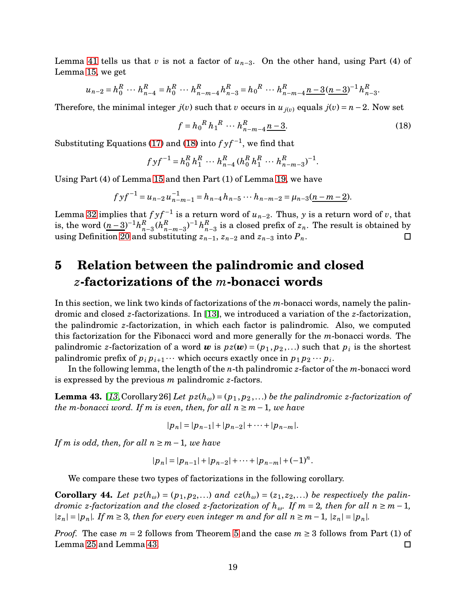Lemma [41](#page-16-3) tells us that *v* is not a factor of *un*−3. On the other hand, using Part (4) of Lemma [15,](#page-6-3) we get

$$
u_{n-2} = h_0^R \cdots h_{n-4}^R = h_0^R \cdots h_{n-m-4}^R h_{n-3}^R = h_0^R \cdots h_{n-m-4}^R \underline{n-3} (\underline{n-3})^{-1} h_{n-3}^R.
$$

Therefore, the minimal integer  $j(v)$  such that *v* occurs in  $u_{j(v)}$  equals  $j(v) = n - 2$ . Now set

<span id="page-18-0"></span>
$$
f = h_0^R h_1^R \cdots h_{n-m-4}^R \underline{n-3}.
$$
 (18)

Substituting Equations [\(17\)](#page-17-1) and [\(18\)](#page-18-0) into  $f y f^{-1}$ , we find that

$$
f y f^{-1} = h_0^R h_1^R \cdots h_{n-4}^R (h_0^R h_1^R \cdots h_{n-m-3}^R)^{-1}.
$$

Using Part (4) of Lemma [15](#page-6-3) and then Part (1) of Lemma [19,](#page-7-3) we have

$$
f y f^{-1} = u_{n-2} u_{n-m-1}^{-1} = h_{n-4} h_{n-5} \cdots h_{n-m-2} = \mu_{n-3} (\underline{n-m-2}).
$$

Lemma [32](#page-12-1) implies that  $f y f^{-1}$  is a return word of  $u_{n-2}$ . Thus,  $y$  is a return word of  $v$ , that is, the word  $(n-3)^{-1}h_n^R$  $_{n-m-3}^{R}$ <sup>)-1</sup> $h_n^R$  $_{n-3}^R(h_n^R)$ *n*−3 is a closed prefix of *zn*. The result is obtained by using Definition [20](#page-8-2) and substituting  $z_{n-1}$ ,  $z_{n-2}$  and  $z_{n-3}$  into  $P_n$ .  $\Box$ 

# **5 Relation between the palindromic and closed** *z***-factorizations of the** *m***-bonacci words**

In this section, we link two kinds of factorizations of the *m*-bonacci words, namely the palindromic and closed *z*-factorizations. In [\[13\]](#page-22-6), we introduced a variation of the *z*-factorization, the palindromic *z*-factorization, in which each factor is palindromic. Also, we computed this factorization for the Fibonacci word and more generally for the *m*-bonacci words. The palindromic *z*-factorization of a word  $\boldsymbol{w}$  is  $pz(\boldsymbol{w}) = (p_1, p_2, ...)$  such that  $p_i$  is the shortest palindromic prefix of  $p_i p_{i+1} \cdots$  which occurs exactly once in  $p_1 p_2 \cdots p_i$ .

In the following lemma, the length of the *n*-th palindromic *z*-factor of the *m*-bonacci word is expressed by the previous *m* palindromic *z*-factors.

<span id="page-18-1"></span>**Lemma 43.** [[13](#page-22-6), Corollary 26] *Let*  $pz(h_{\omega}) = (p_1, p_2, \ldots)$  *be the palindromic z-factorization of the m*-bonacci word. If *m* is even, then, for all  $n \ge m-1$ , we have

$$
|p_n| = |p_{n-1}| + |p_{n-2}| + \cdots + |p_{n-m}|.
$$

*If m is odd, then, for all n* ≥ *m*−1*, we have*

$$
|p_n| = |p_{n-1}| + |p_{n-2}| + \cdots + |p_{n-m}| + (-1)^n.
$$

We compare these two types of factorizations in the following corollary.

**Corollary 44.** Let  $pz(h_{\omega}) = (p_1, p_2, \ldots)$  and  $cz(h_{\omega}) = (z_1, z_2, \ldots)$  be respectively the palin*dromic z*-factorization and the closed *z*-factorization of  $h_{\omega}$ . If  $m = 2$ , then for all  $n \geq m - 1$ ,  $|z_n| = |p_n|$ *. If*  $m \geq 3$ *, then for every even integer*  $m$  *and for all*  $n \geq m-1$ ,  $|z_n| = |p_n|$ *.* 

*Proof.* The case  $m = 2$  follows from Theorem [5](#page-4-0) and the case  $m \geq 3$  follows from Part (1) of Lemma 25 and Lemma [43.](#page-18-1)  $\Box$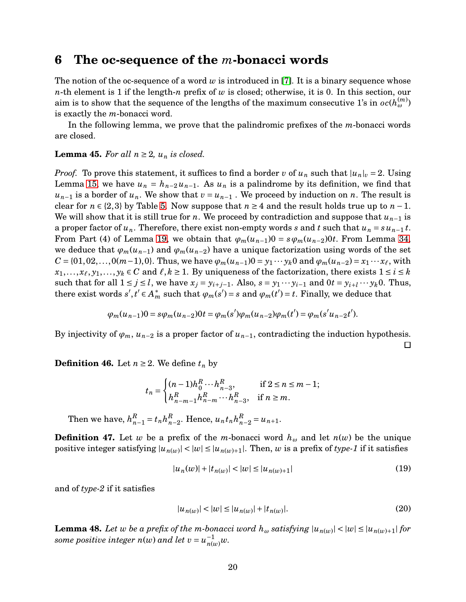### **6 The oc-sequence of the** *m***-bonacci words**

The notion of the oc-sequence of a word *w* is introduced in [\[7\]](#page-21-5). It is a binary sequence whose *n*-th element is 1 if the length-*n* prefix of *w* is closed; otherwise, it is 0. In this section, our aim is to show that the sequence of the lengths of the maximum consecutive 1's in  $oc(h_\omega^{(m)})$ is exactly the *m*-bonacci word.

In the following lemma, we prove that the palindromic prefixes of the *m*-bonacci words are closed.

#### <span id="page-19-2"></span>**Lemma 45.** For all  $n \geq 2$ ,  $u_n$  is closed.

*Proof.* To prove this statement, it suffices to find a border *v* of  $u_n$  such that  $|u_n|_v = 2$ . Using Lemma [15,](#page-6-3) we have  $u_n = h_{n-2} u_{n-1}$ . As  $u_n$  is a palindrome by its definition, we find that  $u_{n-1}$  is a border of  $u_n$ . We show that  $v = u_{n-1}$ . We proceed by induction on *n*. The result is clear for  $n \in \{2,3\}$  by Table [5.](#page-6-1) Now suppose that  $n \geq 4$  and the result holds true up to  $n-1$ . We will show that it is still true for *n*. We proceed by contradiction and suppose that  $u_{n-1}$  is a proper factor of  $u_n$ . Therefore, there exist non-empty words *s* and *t* such that  $u_n = su_{n-1} t$ . From Part (4) of Lemma [19,](#page-7-3) we obtain that  $\varphi_m(u_{n-1})0 = s\varphi_m(u_{n-2})0t$ . From Lemma [34,](#page-12-4) we deduce that  $\varphi_m(u_{n-1})$  and  $\varphi_m(u_{n-2})$  have a unique factorization using words of the set *C* = {01, 02,..., 0(*m*−1), 0}. Thus, we have  $\varphi_m(u_{n-1})0 = y_1 \cdots y_k 0$  and  $\varphi_m(u_{n-2}) = x_1 \cdots x_\ell$ , with  $x_1, \ldots, x_\ell, y_1, \ldots, y_k \in C$  and  $\ell, k \ge 1$ . By uniqueness of the factorization, there exists  $1 \le i \le k$ such that for all  $1 \le j \le l$ , we have  $x_j = y_{i+j-1}$ . Also,  $s = y_1 \cdots y_{i-1}$  and  $0 \cdot t = y_{i+l} \cdots y_k 0$ . Thus, there exist words  $s', t' \in A_m^*$  such that  $\varphi_m(s') = s$  and  $\varphi_m(t') = t$ . Finally, we deduce that

$$
\varphi_m(u_{n-1})0 = s\varphi_m(u_{n-2})0t = \varphi_m(s')\varphi_m(u_{n-2})\varphi_m(t') = \varphi_m(s'u_{n-2}t').
$$

By injectivity of  $\varphi_m$ ,  $u_{n-2}$  is a proper factor of  $u_{n-1}$ , contradicting the induction hypothesis.  $\Box$ 

**Definition 46.** Let  $n \geq 2$ . We define  $t_n$  by

$$
t_n = \begin{cases} (n-1)h_0^R \cdots h_{n-3}^R, & \text{if } 2 \le n \le m-1; \\ h_{n-m-1}^R h_{n-m}^R \cdots h_{n-3}^R, & \text{if } n \ge m. \end{cases}
$$

Then we have,  $h_n^R$  $_{n-1}^R = t_n h_n^R$  $_{n-2}^R$ . Hence,  $u_n t_n h_n^R$  $_{n-2}^{R} = u_{n+1}.$ 

**Definition 47.** Let *w* be a prefix of the *m*-bonacci word  $h_{\omega}$  and let  $n(w)$  be the unique positive integer satisfying  $|u_{n(w)}| < |w| \leq |u_{n(w)+1}|$ . Then, *w* is a prefix of *type-1* if it satisfies

$$
|u_n(w)| + |t_{n(w)}| < |w| \le |u_{n(w)+1}| \tag{19}
$$

and of *type-2* if it satisfies

<span id="page-19-1"></span><span id="page-19-0"></span>
$$
|u_{n(w)}| < |w| \le |u_{n(w)}| + |t_{n(w)}|.\tag{20}
$$

**Lemma 48.** Let  $w$  be a prefix of the m-bonacci word  $h_w$  satisfying  $|u_{n(w)}| < |w| \le |u_{n(w)+1}|$  for *some positive integer*  $n(w)$  *and let*  $v = u_{n(w)}^{-1}w$ *.*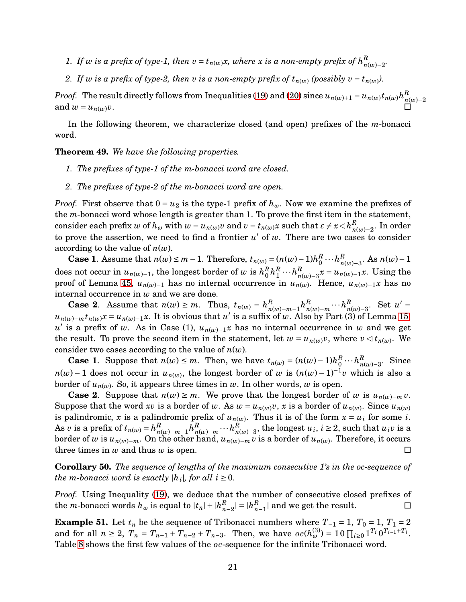- *1.* If *w* is a prefix of type-1, then  $v = t_{n(w)}x$ , where x is a non-empty prefix of  $h_{n(w)}^R$ *n*(*w*)−2 *.*
- 2. If *w* is a prefix of type-2, then *v* is a non-empty prefix of  $t_{n(w)}$  (possibly  $v = t_{n(w)}$ ).

*Proof.* The result directly follows from Inequalities [\(19\)](#page-19-0) and [\(20\)](#page-19-1) since  $u_{n(w)+1} = u_{n(w)} t_{n(w)} h_n^R$ *n*(*w*)−2 and  $w = u_{n(w)}v$ .

In the following theorem, we characterize closed (and open) prefixes of the *m*-bonacci word.

**Theorem 49.** *We have the following properties.*

- *1. The prefixes of type-1 of the m-bonacci word are closed.*
- *2. The prefixes of type-2 of the m-bonacci word are open.*

*Proof.* First observe that  $0 = u_2$  is the type-1 prefix of  $h_\omega$ . Now we examine the prefixes of the *m*-bonacci word whose length is greater than 1. To prove the first item in the statement,  $\alpha$  consider each prefix  $w$  of  $h_\omega$  with  $w = u_{n(w)}v$  and  $v = t_{n(w)}x$  such that  $\varepsilon \neq x \triangleleft h^R_{n(w)}$ *n*(*w*)−2 . In order to prove the assertion, we need to find a frontier  $u'$  of  $w$ . There are two cases to consider according to the value of *n*(*w*).

**Case 1**. Assume that  $n(w)$  ≤  $m-1$ . Therefore,  $t_{n(w)} = (n(w)-1)h_0^R$  $\frac{R}{0} \cdots h\frac{R}{n}$ *n*(*w*)−3 . As *n*(*w*)−1 does not occur in  $u_{n(w)-1}$ , the longest border of *w* is  $h_0^R$  $\frac{R}{0}h_1^R$  $\frac{R}{1} \cdots h \frac{R}{n}$  $n(w)$ <sup>*n*</sup><sub>*n*</sub>(*w*)−2*x*. Using the proof of Lemma [45,](#page-19-2) *un*(*w*)−<sup>1</sup> has no internal occurrence in *un*(*w*) . Hence, *un*(*w*)−1*x* has no internal occurrence in *w* and we are done.

**Case 2**. Assume that  $n(w) \ge m$ . Thus,  $t_{n(w)} = h_n^R$ *n*(*w*)−*m*−1 *h R*  $\frac{R}{n(w)-m}\cdots h\frac{R}{n}$  $R_{n(w)-3}$ . Set  $u' =$  $u_{n(w)-m}t_{n(w)}x = u_{n(w)-1}x$ . It is obvious that *u*' is a suffix of *w*. Also by Part (3) of Lemma [15,](#page-6-3)  $u'$  is a prefix of *w*. As in Case (1),  $u_{n(w)-1}x$  has no internal occurrence in *w* and we get the result. To prove the second item in the statement, let  $w = u_{n(w)}v$ , where  $v \le t_{n(w)}$ . We consider two cases according to the value of *n*(*w*).

**Case 1**. Suppose that  $n(w) \leq m$ . Then, we have  $t_{n(w)} = (n(w) - 1)h_0^R$  $\frac{R}{0}\cdots h\frac{R}{n}$ *n*(*w*)−3 . Since *n*(*w*) − 1 does not occur in *u*<sub>*n*(*w*)</sub>, the longest border of *w* is  $(n(w) - 1)^{-1}v$  which is also a border of  $u_{n(w)}$ . So, it appears three times in  $w$ . In other words,  $w$  is open.

**Case 2.** Suppose that  $n(w) \geq m$ . We prove that the longest border of *w* is  $u_{n(w)-m}v$ . Suppose that the word *xv* is a border of *w*. As  $w = u_{n(w)}v$ , *x* is a border of  $u_{n(w)}$ . Since  $u_{n(w)}$ is palindromic, x is a palindromic prefix of  $u_{n(w)}$ . Thus it is of the form  $x = u_i$  for some *i*. As *v* is a prefix of  $t_{n(w)} = h_n^R$ *n*(*w*)−*m*−1 *h R*  $\frac{R}{n(w)-m} \cdots h\frac{R}{n}$  $n_{n(w)-3}^R$ , the longest *u*<sub>*i*</sub>, *i* ≥ 2, such that *u*<sub>*i*</sub>*v* is a border of  $w$  is  $u_{n(w)-m}$ . On the other hand,  $u_{n(w)-m}\,v$  is a border of  $u_{n(w)}$ . Therefore, it occurs three times in *w* and thus *w* is open.  $\Box$ 

**Corollary 50.** *The sequence of lengths of the maximum consecutive 1's in the oc-sequence of the m-bonacci word is exactly*  $|h_i|$ *, for all*  $i \ge 0$ *.* 

*Proof.* Using Inequality [\(19\)](#page-19-0), we deduce that the number of consecutive closed prefixes of the *m*-bonacci words  $h_{\omega}$  is equal to  $|t_n| + |h_n^R|$  $|h_{n-2}^R| = |h_n^R|$  $\binom{R}{n-1}$  and we get the result.  $\Box$ 

**Example 51.** Let  $t_n$  be the sequence of Tribonacci numbers where  $T_{-1} = 1$ ,  $T_0 = 1$ ,  $T_1 = 2$ and for all  $n \ge 2$ ,  $T_n = T_{n-1} + T_{n-2} + T_{n-3}$ . Then, we have  $oc(h_{\omega}^{(3)}) = 10 \prod_{i \ge 0} 1^{T_i} 0^{T_{i-1} + T_i}$ . Table [8](#page-21-8) shows the first few values of the *oc*-sequence for the infinite Tribonacci word.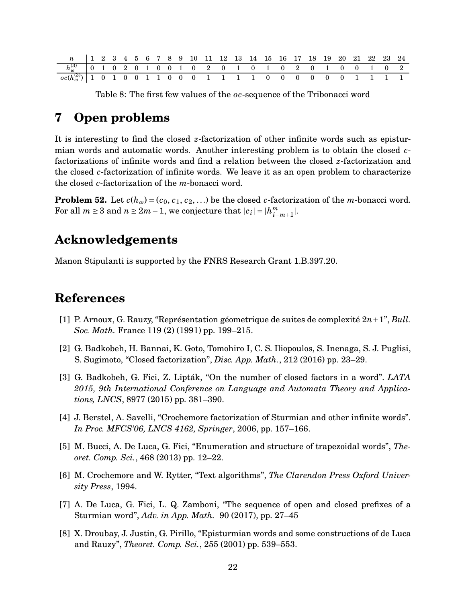|                                                                                            |  |  |  |  |  | $\begin{array}{ ccc ccccccccccc }\n1 & 2 & 3 & 4 & 5 & 6 & 7 & 8 & 9 & 10 & 11 & 12 & 13 & 14 & 15 & 16 & 17 & 18 & 19 & 20 & 21 & 22 & 23 & 24\n\end{array}$ |  |  |  |  |  |  |
|--------------------------------------------------------------------------------------------|--|--|--|--|--|---------------------------------------------------------------------------------------------------------------------------------------------------------------|--|--|--|--|--|--|
| $h_{\omega}^{(3)}$ 0 1 0 2 0 1 0 0 1 0 2 0 1 0 1 0 2 0 1 0 0 1 0 2                         |  |  |  |  |  |                                                                                                                                                               |  |  |  |  |  |  |
| $\frac{1}{\cos(h_{\omega}^{(3)})}$   1 0 1 0 0 1 1 0 0 0 0 1 1 1 1 1 0 0 0 0 0 0 0 1 1 1 1 |  |  |  |  |  |                                                                                                                                                               |  |  |  |  |  |  |

<span id="page-21-8"></span>Table 8: The first few values of the *oc*-sequence of the Tribonacci word

# **7 Open problems**

It is interesting to find the closed *z*-factorization of other infinite words such as episturmian words and automatic words. Another interesting problem is to obtain the closed *c*factorizations of infinite words and find a relation between the closed *z*-factorization and the closed *c*-factorization of infinite words. We leave it as an open problem to characterize the closed *c*-factorization of the *m*-bonacci word.

**Problem 52.** Let  $c(h_\omega) = (c_0, c_1, c_2, \ldots)$  be the closed *c*-factorization of the *m*-bonacci word. For all  $m \geq 3$  and  $n \geq 2m - 1$ , we conjecture that  $|c_i| = |h_{i-}^m|$ *i*−*m*+1 |.

# **Acknowledgements**

Manon Stipulanti is supported by the FNRS Research Grant 1.B.397.20.

# <span id="page-21-6"></span>**References**

- <span id="page-21-4"></span>[1] P. Arnoux, G. Rauzy, "Représentation géometrique de suites de complexité 2*n*+1", *Bull. Soc. Math.* France 119 (2) (1991) pp. 199–215.
- <span id="page-21-3"></span>[2] G. Badkobeh, H. Bannai, K. Goto, Tomohiro I, C. S. Iliopoulos, S. Inenaga, S. J. Puglisi, S. Sugimoto, "Closed factorization", *Disc. App. Math.*, 212 (2016) pp. 23–29.
- [3] G. Badkobeh, G. Fici, Z. Lipták, "On the number of closed factors in a word". *LATA 2015, 9th International Conference on Language and Automata Theory and Applications, LNCS*, 8977 (2015) pp. 381–390.
- <span id="page-21-1"></span>[4] J. Berstel, A. Savelli, "Crochemore factorization of Sturmian and other infinite words". *In Proc. MFCS'06, LNCS 4162, Springer*, 2006, pp. 157–166.
- <span id="page-21-2"></span>[5] M. Bucci, A. De Luca, G. Fici, "Enumeration and structure of trapezoidal words", *Theoret. Comp. Sci.*, 468 (2013) pp. 12–22.
- <span id="page-21-5"></span><span id="page-21-0"></span>[6] M. Crochemore and W. Rytter, "Text algorithms", *The Clarendon Press Oxford University Press*, 1994.
- [7] A. De Luca, G. Fici, L. Q. Zamboni, "The sequence of open and closed prefixes of a Sturmian word", *Adv. in App. Math.* 90 (2017), pp. 27–45
- <span id="page-21-7"></span>[8] X. Droubay, J. Justin, G. Pirillo, "Episturmian words and some constructions of de Luca and Rauzy", *Theoret. Comp. Sci.*, 255 (2001) pp. 539–553.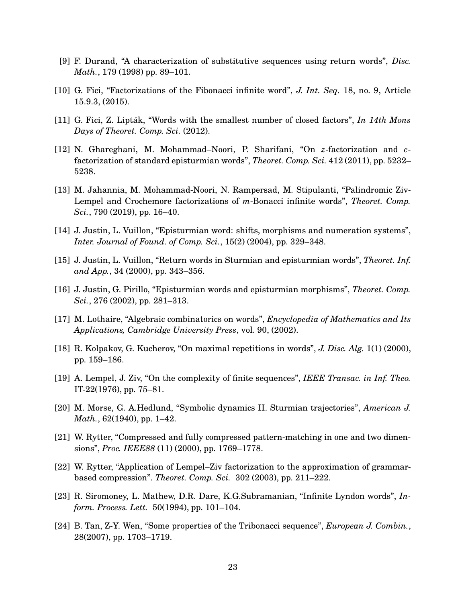- <span id="page-22-12"></span><span id="page-22-7"></span>[9] F. Durand, "A characterization of substitutive sequences using return words", *Disc. Math.*, 179 (1998) pp. 89–101.
- <span id="page-22-9"></span>[10] G. Fici, "Factorizations of the Fibonacci infinite word", *J. Int. Seq.* 18, no. 9, Article 15.9.3, (2015).
- <span id="page-22-5"></span>[11] G. Fici, Z. Lipták, "Words with the smallest number of closed factors", *In 14th Mons Days of Theoret. Comp. Sci.* (2012).
- [12] N. Ghareghani, M. Mohammad–Noori, P. Sharifani, "On *z*-factorization and *c*factorization of standard episturmian words", *Theoret. Comp. Sci.* 412 (2011), pp. 5232– 5238.
- <span id="page-22-6"></span>[13] M. Jahannia, M. Mohammad-Noori, N. Rampersad, M. Stipulanti, "Palindromic Ziv-Lempel and Crochemore factorizations of *m*-Bonacci infinite words", *Theoret. Comp. Sci.*, 790 (2019), pp. 16–40.
- <span id="page-22-14"></span><span id="page-22-8"></span>[14] J. Justin, L. Vuillon, "Episturmian word: shifts, morphisms and numeration systems", *Inter. Journal of Found. of Comp. Sci.*, 15(2) (2004), pp. 329–348.
- <span id="page-22-15"></span>[15] J. Justin, L. Vuillon, "Return words in Sturmian and episturmian words", *Theoret. Inf. and App.*, 34 (2000), pp. 343–356.
- <span id="page-22-11"></span>[16] J. Justin, G. Pirillo, "Episturmian words and episturmian morphisms", *Theoret. Comp. Sci.*, 276 (2002), pp. 281–313.
- <span id="page-22-4"></span>[17] M. Lothaire, "Algebraic combinatorics on words", *Encyclopedia of Mathematics and Its Applications, Cambridge University Press*, vol. 90, (2002).
- <span id="page-22-3"></span>[18] R. Kolpakov, G. Kucherov, "On maximal repetitions in words", *J. Disc. Alg.* 1(1) (2000), pp. 159–186.
- <span id="page-22-10"></span>[19] A. Lempel, J. Ziv, "On the complexity of finite sequences", *IEEE Transac. in Inf. Theo.* IT-22(1976), pp. 75–81.
- <span id="page-22-0"></span>[20] M. Morse, G. A.Hedlund, "Symbolic dynamics II. Sturmian trajectories", *American J. Math.*, 62(1940), pp. 1–42.
- <span id="page-22-1"></span>[21] W. Rytter, "Compressed and fully compressed pattern-matching in one and two dimensions", *Proc. IEEE88* (11) (2000), pp. 1769–1778.
- <span id="page-22-2"></span>[22] W. Rytter, "Application of Lempel–Ziv factorization to the approximation of grammarbased compression". *Theoret. Comp. Sci.* 302 (2003), pp. 211–222.
- <span id="page-22-13"></span>[23] R. Siromoney, L. Mathew, D.R. Dare, K.G.Subramanian, "Infinite Lyndon words", *Inform. Process. Lett.* 50(1994), pp. 101–104.
- [24] B. Tan, Z-Y. Wen, "Some properties of the Tribonacci sequence", *European J. Combin.*, 28(2007), pp. 1703–1719.